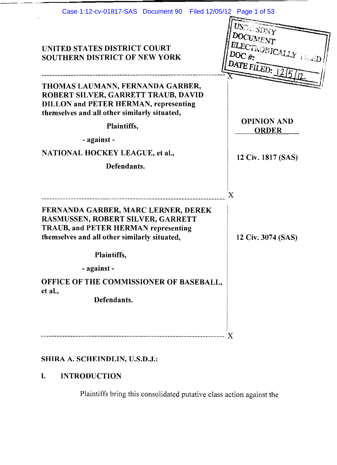|                                                                                                                                                                                                                                                         | Filed 12/05/12 Page 1 of 53                                            |
|---------------------------------------------------------------------------------------------------------------------------------------------------------------------------------------------------------------------------------------------------------|------------------------------------------------------------------------|
| UNITED STATES DISTRICT COURT<br><b>SOUTHERN DISTRICT OF NEW YORK</b>                                                                                                                                                                                    | USDC SDNY<br>DOCUMENT<br>ELECTROMICALLY FRED<br>DOC $#$<br>DATE FILED: |
| THOMAS LAUMANN, FERNANDA GARBER,<br>ROBERT SILVER, GARRETT TRAUB, DAVID<br><b>DILLON and PETER HERMAN, representing</b><br>themselves and all other similarly situated,<br>Plaintiffs,<br>- against -<br>NATIONAL HOCKEY LEAGUE, et al.,<br>Defendants. | <b>OPINION AND</b><br><b>ORDER</b><br>12 Civ. 1817 (SAS)               |
| FERNANDA GARBER, MARC LERNER, DEREK<br>RASMUSSEN, ROBERT SILVER, GARRETT<br><b>TRAUB, and PETER HERMAN representing</b><br>themselves and all other similarly situated,                                                                                 | $\boldsymbol{\mathrm{X}}$<br>12 Civ. 3074 (SAS)                        |
| Plaintiffs,                                                                                                                                                                                                                                             |                                                                        |

# SHIRA A. SCHEINDLIN, U.S.D.J.:

# I. INTRODUCTION

Plaintiffs bring this consolidated putative class action against the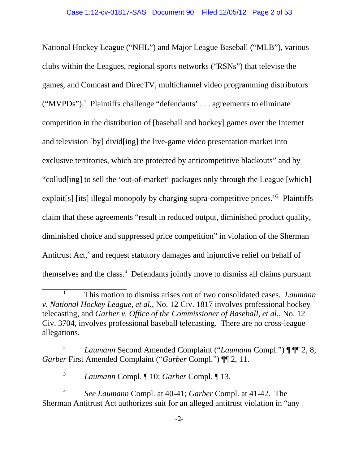National Hockey League ("NHL") and Major League Baseball ("MLB"), various clubs within the Leagues, regional sports networks ("RSNs") that televise the games, and Comcast and DirecTV, multichannel video programming distributors ("MVPDs").<sup>1</sup> Plaintiffs challenge "defendants' . . . agreements to eliminate competition in the distribution of [baseball and hockey] games over the Internet and television [by] divid[ing] the live-game video presentation market into exclusive territories, which are protected by anticompetitive blackouts" and by "collud[ing] to sell the 'out-of-market' packages only through the League [which] exploit[s] [its] illegal monopoly by charging supra-competitive prices."<sup>2</sup> Plaintiffs claim that these agreements "result in reduced output, diminished product quality, diminished choice and suppressed price competition" in violation of the Sherman Antitrust Act,<sup>3</sup> and request statutory damages and injunctive relief on behalf of themselves and the class.<sup>4</sup> Defendants jointly move to dismiss all claims pursuant

<sup>1</sup> This motion to dismiss arises out of two consolidated cases. *Laumann v. National Hockey League, et al.*, No. 12 Civ. 1817 involves professional hockey telecasting, and *Garber v. Office of the Commissioner of Baseball, et al.*, No. 12 Civ. 3704, involves professional baseball telecasting. There are no cross-league allegations.

<sup>&</sup>lt;sup>2</sup> *Laumann* Second Amended Complaint ("*Laumann* Compl.") ¶ ¶[2, 8; *Garber* First Amended Complaint ("*Garber* Compl.") ¶¶ 2, 11.

<sup>3</sup> *Laumann* Compl. ¶ 10; *Garber* Compl. ¶ 13.

<sup>4</sup> *See Laumann* Compl. at 40-41; *Garber* Compl. at 41-42. The Sherman Antitrust Act authorizes suit for an alleged antitrust violation in "any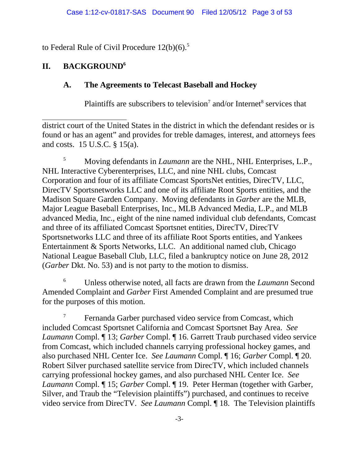to Federal Rule of Civil Procedure  $12(b)(6)$ .<sup>5</sup>

# **II. BACKGROUND6**

# **A. The Agreements to Telecast Baseball and Hockey**

Plaintiffs are subscribers to television<sup>7</sup> and/or Internet<sup>8</sup> services that

district court of the United States in the district in which the defendant resides or is found or has an agent" and provides for treble damages, interest, and attorneys fees and costs. 15 U.S.C. § 15(a).

<sup>5</sup> Moving defendants in *Laumann* are the NHL, NHL Enterprises, L.P., NHL Interactive Cyberenterprises, LLC, and nine NHL clubs, Comcast Corporation and four of its affiliate Comcast SportsNet entities, DirecTV, LLC, DirecTV Sportsnetworks LLC and one of its affiliate Root Sports entities, and the Madison Square Garden Company. Moving defendants in *Garber* are the MLB, Major League Baseball Enterprises, Inc., MLB Advanced Media, L.P., and MLB advanced Media, Inc., eight of the nine named individual club defendants, Comcast and three of its affiliated Comcast Sportsnet entities, DirecTV, DirecTV Sportsnetworks LLC and three of its affiliate Root Sports entities, and Yankees Entertainment & Sports Networks, LLC. An additional named club, Chicago National League Baseball Club, LLC, filed a bankruptcy notice on June 28, 2012 (*Garber* Dkt. No. 53) and is not party to the motion to dismiss.

6 Unless otherwise noted, all facts are drawn from the *Laumann* Second Amended Complaint and *Garber* First Amended Complaint and are presumed true for the purposes of this motion.

<sup>7</sup> Fernanda Garber purchased video service from Comcast, which included Comcast Sportsnet California and Comcast Sportsnet Bay Area. *See Laumann* Compl. ¶ 13; *Garber* Compl. ¶ 16. Garrett Traub purchased video service from Comcast, which included channels carrying professional hockey games, and also purchased NHL Center Ice. *See Laumann* Compl. ¶ 16; *Garber* Compl. ¶ 20. Robert Silver purchased satellite service from DirecTV, which included channels carrying professional hockey games, and also purchased NHL Center Ice. *See Laumann* Compl. ¶ 15; *Garber* Compl. ¶ 19. Peter Herman (together with Garber, Silver, and Traub the "Television plaintiffs") purchased, and continues to receive video service from DirecTV. *See Laumann* Compl. ¶ 18.The Television plaintiffs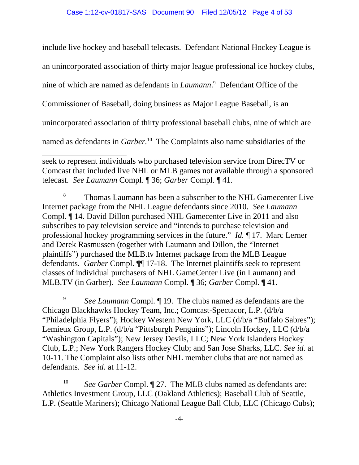include live hockey and baseball telecasts. Defendant National Hockey League is

an unincorporated association of thirty major league professional ice hockey clubs,

nine of which are named as defendants in *Laumann*. 9 Defendant Office of the

Commissioner of Baseball, doing business as Major League Baseball, is an

unincorporated association of thirty professional baseball clubs, nine of which are

named as defendants in *Garber*.<sup>10</sup> The Complaints also name subsidiaries of the

seek to represent individuals who purchased television service from DirecTV or Comcast that included live NHL or MLB games not available through a sponsored telecast. *See Laumann* Compl. ¶ 36; *Garber* Compl. ¶ 41.

<sup>8</sup> Thomas Laumann has been a subscriber to the NHL Gamecenter Live Internet package from the NHL League defendants since 2010. *See Laumann* Compl. ¶ 14. David Dillon purchased NHL Gamecenter Live in 2011 and also subscribes to pay television service and "intends to purchase television and professional hockey programming services in the future." *Id.* ¶ 17. Marc Lerner and Derek Rasmussen (together with Laumann and Dillon, the "Internet plaintiffs") purchased the MLB.tv Internet package from the MLB League defendants. *Garber* Compl. ¶¶ 17-18. The Internet plaintiffs seek to represent classes of individual purchasers of NHL GameCenter Live (in Laumann) and MLB.TV (in Garber). *See Laumann* Compl. ¶ 36; *Garber* Compl. ¶ 41.

<sup>9</sup> *See Laumann* Compl. ¶ 19. The clubs named as defendants are the Chicago Blackhawks Hockey Team, Inc.; Comcast-Spectacor, L.P. (d/b/a "Philadelphia Flyers"); Hockey Western New York, LLC (d/b/a "Buffalo Sabres"); Lemieux Group, L.P. (d/b/a "Pittsburgh Penguins"); Lincoln Hockey, LLC (d/b/a "Washington Capitals"); New Jersey Devils, LLC; New York Islanders Hockey Club, L.P.; New York Rangers Hockey Club; and San Jose Sharks, LLC. *See id.* at 10-11. The Complaint also lists other NHL member clubs that are not named as defendants. *See id.* at 11-12.

<sup>10</sup> *See Garber* Compl. 127. The MLB clubs named as defendants are: Athletics Investment Group, LLC (Oakland Athletics); Baseball Club of Seattle, L.P. (Seattle Mariners); Chicago National League Ball Club, LLC (Chicago Cubs);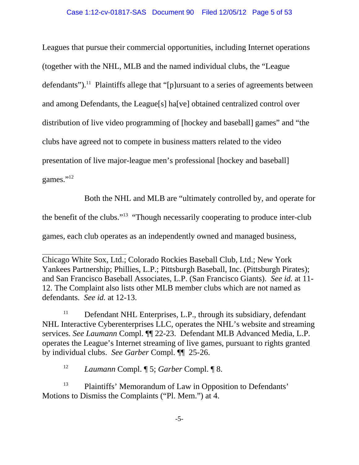Leagues that pursue their commercial opportunities, including Internet operations (together with the NHL, MLB and the named individual clubs, the "League defendants").<sup>11</sup> Plaintiffs allege that "[p]ursuant to a series of agreements between and among Defendants, the League[s] ha[ve] obtained centralized control over distribution of live video programming of [hockey and baseball] games" and "the clubs have agreed not to compete in business matters related to the video presentation of live major-league men's professional [hockey and baseball] games."<sup>12</sup>

Both the NHL and MLB are "ultimately controlled by, and operate for the benefit of the clubs."13 "Though necessarily cooperating to produce inter-club games, each club operates as an independently owned and managed business,

 $11$  Defendant NHL Enterprises, L.P., through its subsidiary, defendant NHL Interactive Cyberenterprises LLC, operates the NHL's website and streaming services. *See Laumann* Compl. ¶¶ 22-23. Defendant MLB Advanced Media, L.P. operates the League's Internet streaming of live games, pursuant to rights granted by individual clubs. *See Garber* Compl. ¶¶ 25-26.

<sup>12</sup> *Laumann* Compl. ¶ 5; *Garber* Compl. ¶ 8.

<sup>13</sup> Plaintiffs' Memorandum of Law in Opposition to Defendants' Motions to Dismiss the Complaints ("Pl. Mem.") at 4.

Chicago White Sox, Ltd.; Colorado Rockies Baseball Club, Ltd.; New York Yankees Partnership; Phillies, L.P.; Pittsburgh Baseball, Inc. (Pittsburgh Pirates); and San Francisco Baseball Associates, L.P. (San Francisco Giants). *See id.* at 11- 12. The Complaint also lists other MLB member clubs which are not named as defendants. *See id.* at 12-13.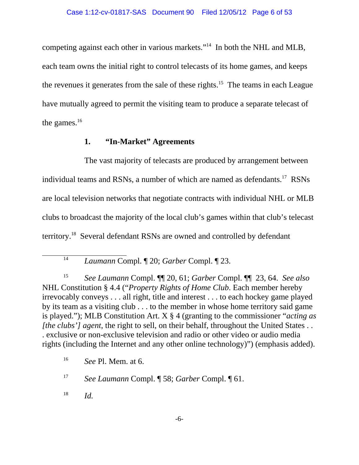competing against each other in various markets."14In both the NHL and MLB, each team owns the initial right to control telecasts of its home games, and keeps the revenues it generates from the sale of these rights.15The teams in each League have mutually agreed to permit the visiting team to produce a separate telecast of the games.<sup>16</sup>

# **1. "In-Market" Agreements**

The vast majority of telecasts are produced by arrangement between individual teams and RSNs, a number of which are named as defendants.<sup>17</sup> RSNs are local television networks that negotiate contracts with individual NHL or MLB clubs to broadcast the majority of the local club's games within that club's telecast territory.18 Several defendant RSNs are owned and controlled by defendant

<sup>15</sup> *See Laumann* Compl. ¶¶ 20, 61; *Garber* Compl. ¶¶ 23, 64. *See also* NHL Constitution § 4.4 ("*Property Rights of Home Club*. Each member hereby irrevocably conveys . . . all right, title and interest . . . to each hockey game played by its team as a visiting club . . . to the member in whose home territory said game is played."); MLB Constitution Art. X § 4 (granting to the commissioner "*acting as [the clubs'] agent*, the right to sell, on their behalf, throughout the United States . . . exclusive or non-exclusive television and radio or other video or audio media rights (including the Internet and any other online technology)") (emphasis added).

<sup>18</sup> *Id.*

<sup>14</sup> *Laumann* Compl. ¶ 20; *Garber* Compl. ¶ 23.

<sup>16</sup> *See* Pl. Mem. at 6.

<sup>17</sup> *See Laumann* Compl. ¶ 58; *Garber* Compl. ¶ 61.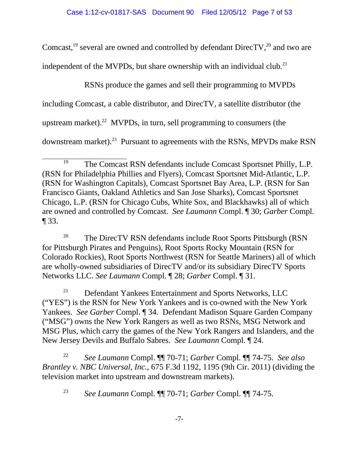Comcast,<sup>19</sup> several are owned and controlled by defendant DirecTV,<sup>20</sup> and two are

independent of the MVPDs, but share ownership with an individual club.<sup>21</sup>

RSNs produce the games and sell their programming to MVPDs including Comcast, a cable distributor, and DirecTV, a satellite distributor (the upstream market).<sup>22</sup> MVPDs, in turn, sell programming to consumers (the downstream market).<sup>23</sup> Pursuant to agreements with the RSNs, MPVDs make RSN

<sup>20</sup> The DirecTV RSN defendants include Root Sports Pittsburgh (RSN) for Pittsburgh Pirates and Penguins), Root Sports Rocky Mountain (RSN for Colorado Rockies), Root Sports Northwest (RSN for Seattle Mariners) all of which are wholly-owned subsidiaries of DirecTV and/or its subsidiary DirecTV Sports Networks LLC. *See Laumann* Compl. ¶ 28; *Garber* Compl. ¶ 31.

<sup>21</sup> Defendant Yankees Entertainment and Sports Networks, LLC ("YES") is the RSN for New York Yankees and is co-owned with the New York Yankees. *See Garber* Compl. ¶ 34. Defendant Madison Square Garden Company ("MSG") owns the New York Rangers as well as two RSNs, MSG Network and MSG Plus, which carry the games of the New York Rangers and Islanders, and the New Jersey Devils and Buffalo Sabres. *See Laumann* Compl. ¶ 24.

<sup>22</sup> *See Laumann* Compl. ¶¶ 70-71; *Garber* Compl. ¶¶ 74-75. *See also Brantley v. NBC Universal, Inc.*, 675 F.3d 1192, 1195 (9th Cir. 2011) (dividing the television market into upstream and downstream markets).

<sup>23</sup> *See Laumann* Compl. ¶¶ 70-71; *Garber* Compl. ¶¶ 74-75.

<sup>&</sup>lt;sup>19</sup> The Comcast RSN defendants include Comcast Sportsnet Philly, L.P. (RSN for Philadelphia Phillies and Flyers), Comcast Sportsnet Mid-Atlantic, L.P. (RSN for Washington Capitals), Comcast Sportsnet Bay Area, L.P. (RSN for San Francisco Giants, Oakland Athletics and San Jose Sharks), Comcast Sportsnet Chicago, L.P. (RSN for Chicago Cubs, White Sox, and Blackhawks) all of which are owned and controlled by Comcast. *See Laumann* Compl. ¶ 30; *Garber* Compl. ¶ 33.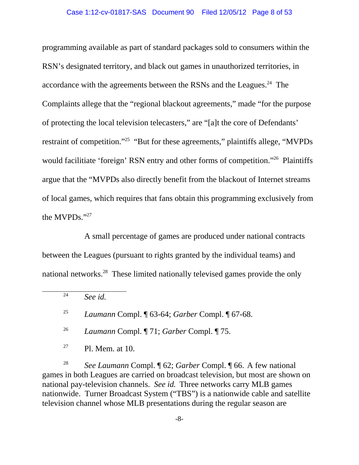programming available as part of standard packages sold to consumers within the RSN's designated territory, and black out games in unauthorized territories, in accordance with the agreements between the RSNs and the Leagues.<sup>24</sup> The Complaints allege that the "regional blackout agreements," made "for the purpose of protecting the local television telecasters," are "[a]t the core of Defendants' restraint of competition."<sup>25</sup> "But for these agreements," plaintiffs allege, "MVPDs" would facilitiate 'foreign' RSN entry and other forms of competition."<sup>26</sup> Plaintiffs argue that the "MVPDs also directly benefit from the blackout of Internet streams of local games, which requires that fans obtain this programming exclusively from the MVPDs."27

A small percentage of games are produced under national contracts between the Leagues (pursuant to rights granted by the individual teams) and national networks.28 These limited nationally televised games provide the only

<sup>28</sup> *See Laumann* Compl. ¶ 62; *Garber* Compl. ¶ 66. A few national games in both Leagues are carried on broadcast television, but most are shown on national pay-television channels. *See id.* Three networks carry MLB games nationwide. Turner Broadcast System ("TBS") is a nationwide cable and satellite television channel whose MLB presentations during the regular season are

<sup>24</sup> *See id.*

<sup>25</sup> *Laumann* Compl. ¶ 63-64; *Garber* Compl. ¶ 67-68.

<sup>26</sup> *Laumann* Compl. ¶ 71; *Garber* Compl. ¶ 75.

 $27$  Pl. Mem. at 10.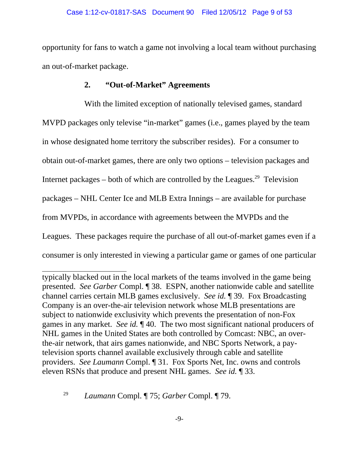opportunity for fans to watch a game not involving a local team without purchasing an out-of-market package.

### **2. "Out-of-Market" Agreements**

With the limited exception of nationally televised games, standard MVPD packages only televise "in-market" games (i.e., games played by the team in whose designated home territory the subscriber resides). For a consumer to obtain out-of-market games, there are only two options – television packages and Internet packages – both of which are controlled by the Leagues.<sup>29</sup> Television packages – NHL Center Ice and MLB Extra Innings – are available for purchase from MVPDs, in accordance with agreements between the MVPDs and the Leagues. These packages require the purchase of all out-of-market games even if a consumer is only interested in viewing a particular game or games of one particular

typically blacked out in the local markets of the teams involved in the game being presented. *See Garber* Compl. ¶ 38. ESPN, another nationwide cable and satellite channel carries certain MLB games exclusively. *See id.* ¶ 39. Fox Broadcasting Company is an over-the-air television network whose MLB presentations are subject to nationwide exclusivity which prevents the presentation of non-Fox games in any market. *See id.* ¶ 40. The two most significant national producers of NHL games in the United States are both controlled by Comcast: NBC, an overthe-air network, that airs games nationwide, and NBC Sports Network, a paytelevision sports channel available exclusively through cable and satellite providers. *See Laumann* Compl. ¶ 31. Fox Sports Net, Inc. owns and controls eleven RSNs that produce and present NHL games. *See id.* ¶ 33.

<sup>29</sup> *Laumann* Compl. ¶ 75; *Garber* Compl. ¶ 79.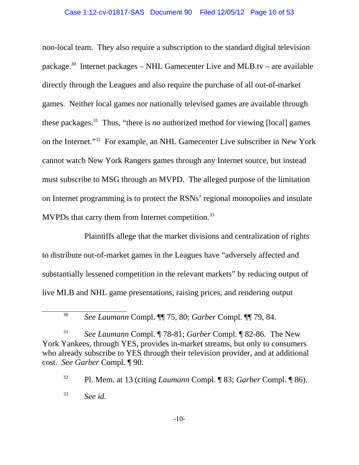non-local team. They also require a subscription to the standard digital television package.<sup>30</sup> Internet packages – NHL Gamecenter Live and MLB.tv – are available directly through the Leagues and also require the purchase of all out-of-market games. Neither local games nor nationally televised games are available through these packages.31 Thus, "there is *no* authorized method for viewing [local] games on the Internet."32 For example, an NHL Gamecenter Live subscriber in New York cannot watch New York Rangers games through any Internet source, but instead must subscribe to MSG through an MVPD. The alleged purpose of the limitation on Internet programming is to protect the RSNs' regional monopolies and insulate MVPDs that carry them from Internet competition.<sup>33</sup>

Plaintiffs allege that the market divisions and centralization of rights to distribute out-of-market games in the Leagues have "adversely affected and substantially lessened competition in the relevant markets" by reducing output of live MLB and NHL game presentations, raising prices, and rendering output

<sup>30</sup> *See Laumann* Compl. ¶¶ 75, 80; *Garber* Compl. ¶¶ 79, 84.

<sup>31</sup> *See Laumann* Compl. ¶ 78-81; *Garber* Compl. ¶ 82-86. The New York Yankees, through YES, provides in-market streams, but only to consumers who already subscribe to YES through their television provider, and at additional cost. *See Garber* Compl. ¶ 90.

<sup>32</sup> Pl. Mem. at 13 (citing *Laumann* Compl. ¶ 83; *Garber* Compl. ¶ 86).

<sup>33</sup> *See id.*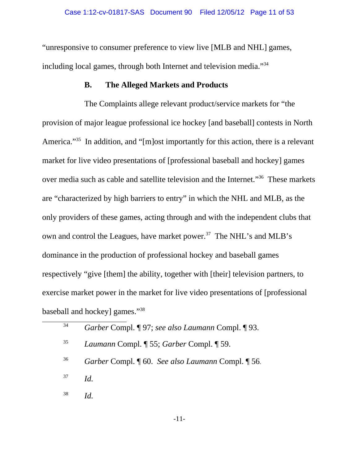"unresponsive to consumer preference to view live [MLB and NHL] games, including local games, through both Internet and television media."34

#### **B. The Alleged Markets and Products**

The Complaints allege relevant product/service markets for "the provision of major league professional ice hockey [and baseball] contests in North America."<sup>35</sup> In addition, and "[m]ost importantly for this action, there is a relevant market for live video presentations of [professional baseball and hockey] games over media such as cable and satellite television and the Internet."36 These markets are "characterized by high barriers to entry" in which the NHL and MLB, as the only providers of these games, acting through and with the independent clubs that own and control the Leagues, have market power.<sup>37</sup> The NHL's and MLB's dominance in the production of professional hockey and baseball games respectively "give [them] the ability, together with [their] television partners, to exercise market power in the market for live video presentations of [professional baseball and hockey] games."38

| 34 | Garber Compl. ¶ 97; see also Laumann Compl. ¶ 93. |
|----|---------------------------------------------------|
| 35 | Laumann Compl. ¶ 55; Garber Compl. ¶ 59.          |
| 36 | Garber Compl. ¶ 60. See also Laumann Compl. ¶ 56. |
| 37 | Id.                                               |
| 38 | Ы                                                 |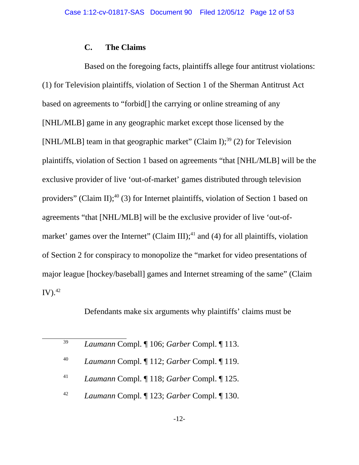### **C. The Claims**

Based on the foregoing facts, plaintiffs allege four antitrust violations: (1) for Television plaintiffs, violation of Section 1 of the Sherman Antitrust Act based on agreements to "forbid[] the carrying or online streaming of any [NHL/MLB] game in any geographic market except those licensed by the [NHL/MLB] team in that geographic market" (Claim I);<sup>39</sup> (2) for Television plaintiffs, violation of Section 1 based on agreements "that [NHL/MLB] will be the exclusive provider of live 'out-of-market' games distributed through television providers" (Claim II);<sup>40</sup> (3) for Internet plaintiffs, violation of Section 1 based on agreements "that [NHL/MLB] will be the exclusive provider of live 'out-ofmarket' games over the Internet" (Claim III);<sup>41</sup> and (4) for all plaintiffs, violation of Section 2 for conspiracy to monopolize the "market for video presentations of major league [hockey/baseball] games and Internet streaming of the same" (Claim  $\text{IV}.^{42}$ 

Defendants make six arguments why plaintiffs' claims must be

<sup>39</sup> *Laumann* Compl. ¶ 106; *Garber* Compl. ¶ 113.

- <sup>40</sup> *Laumann* Compl. ¶ 112; *Garber* Compl. ¶ 119.
- <sup>41</sup> *Laumann* Compl. ¶ 118; *Garber* Compl. ¶ 125.
- <sup>42</sup> *Laumann* Compl. ¶ 123; *Garber* Compl. ¶ 130.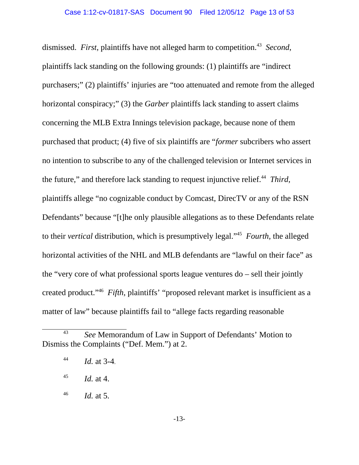dismissed. *First*, plaintiffs have not alleged harm to competition.<sup>43</sup> *Second*, plaintiffs lack standing on the following grounds: (1) plaintiffs are "indirect purchasers;" (2) plaintiffs' injuries are "too attenuated and remote from the alleged horizontal conspiracy;" (3) the *Garber* plaintiffs lack standing to assert claims concerning the MLB Extra Innings television package, because none of them purchased that product; (4) five of six plaintiffs are "*former* subcribers who assert no intention to subscribe to any of the challenged television or Internet services in the future," and therefore lack standing to request injunctive relief.<sup>44</sup> *Third*, plaintiffs allege "no cognizable conduct by Comcast, DirecTV or any of the RSN Defendants" because "[t]he only plausible allegations as to these Defendants relate to their *vertical* distribution, which is presumptively legal."45 *Fourth,* the alleged horizontal activities of the NHL and MLB defendants are "lawful on their face" as the "very core of what professional sports league ventures do – sell their jointly created product."46 *Fifth*, plaintiffs' "proposed relevant market is insufficient as a matter of law" because plaintiffs fail to "allege facts regarding reasonable

<sup>43</sup> *See* Memorandum of Law in Support of Defendants' Motion to Dismiss the Complaints ("Def. Mem.") at 2.

<sup>44</sup> *Id.* at 3-4.

<sup>45</sup> *Id.* at 4.

<sup>46</sup> *Id.* at 5.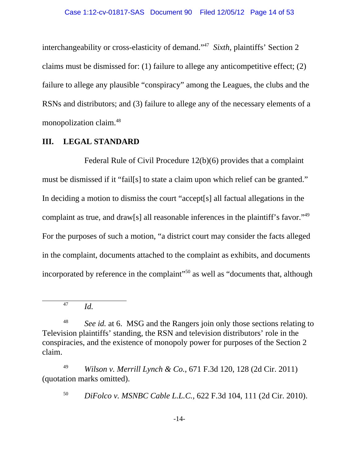interchangeability or cross-elasticity of demand."47 *Sixth,* plaintiffs' Section 2 claims must be dismissed for: (1) failure to allege any anticompetitive effect; (2) failure to allege any plausible "conspiracy" among the Leagues, the clubs and the RSNs and distributors; and (3) failure to allege any of the necessary elements of a monopolization claim.48

### **III. LEGAL STANDARD**

Federal Rule of Civil Procedure 12(b)(6) provides that a complaint must be dismissed if it "fail[s] to state a claim upon which relief can be granted." In deciding a motion to dismiss the court "accept[s] all factual allegations in the complaint as true, and draw[s] all reasonable inferences in the plaintiff's favor."49 For the purposes of such a motion, "a district court may consider the facts alleged in the complaint, documents attached to the complaint as exhibits, and documents incorporated by reference in the complaint"<sup>50</sup> as well as "documents that, although

<sup>47</sup> *Id.*

<sup>&</sup>lt;sup>48</sup> *See id.* at 6. MSG and the Rangers join only those sections relating to Television plaintiffs' standing, the RSN and television distributors' role in the conspiracies, and the existence of monopoly power for purposes of the Section 2 claim.

<sup>49</sup> *Wilson v. Merrill Lynch & Co.*, 671 F.3d 120, 128 (2d Cir. 2011) (quotation marks omitted).

<sup>50</sup> *DiFolco v. MSNBC Cable L.L.C.*, 622 F.3d 104, 111 (2d Cir. 2010).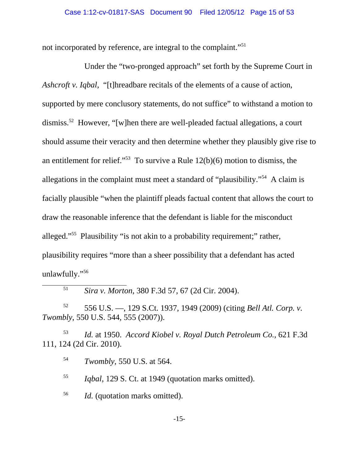not incorporated by reference, are integral to the complaint."51

Under the "two-pronged approach" set forth by the Supreme Court in *Ashcroft v. Iqbal*, "[t]hreadbare recitals of the elements of a cause of action, supported by mere conclusory statements, do not suffice" to withstand a motion to dismiss.<sup>52</sup> However, "[w]hen there are well-pleaded factual allegations, a court should assume their veracity and then determine whether they plausibly give rise to an entitlement for relief."<sup>53</sup> To survive a Rule  $12(b)(6)$  motion to dismiss, the allegations in the complaint must meet a standard of "plausibility."54 A claim is facially plausible "when the plaintiff pleads factual content that allows the court to draw the reasonable inference that the defendant is liable for the misconduct alleged."55 Plausibility "is not akin to a probability requirement;" rather, plausibility requires "more than a sheer possibility that a defendant has acted unlawfully."56

<sup>51</sup> *Sira v. Morton*, 380 F.3d 57, 67 (2d Cir. 2004).

<sup>52</sup> 556 U.S. —, 129 S.Ct. 1937, 1949 (2009) (citing *Bell Atl. Corp. v. Twombly*, 550 U.S. 544, 555 (2007)).

<sup>53</sup> *Id.* at 1950. *Accord Kiobel v. Royal Dutch Petroleum Co.*, 621 F.3d 111, 124 (2d Cir. 2010).

<sup>54</sup> *Twombly*, 550 U.S. at 564.

<sup>55</sup> *Iqbal*, 129 S. Ct. at 1949 (quotation marks omitted).

<sup>56</sup> *Id.* (quotation marks omitted).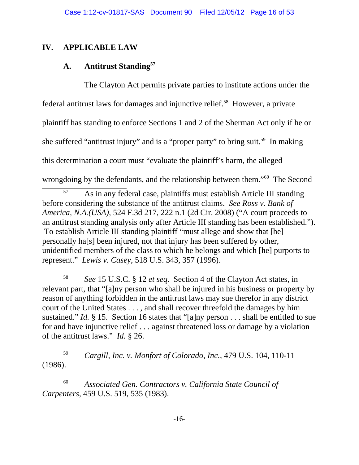# **IV. APPLICABLE LAW**

# **A. Antitrust Standing57**

The Clayton Act permits private parties to institute actions under the federal antitrust laws for damages and injunctive relief.58However, a private plaintiff has standing to enforce Sections 1 and 2 of the Sherman Act only if he or she suffered "antitrust injury" and is a "proper party" to bring suit.<sup>59</sup> In making this determination a court must "evaluate the plaintiff's harm, the alleged wrongdoing by the defendants, and the relationship between them."<sup>60</sup> The Second

 $\frac{57}{100}$  As in any federal case, plaintiffs must establish Article III standing before considering the substance of the antitrust claims. *See Ross v. Bank of America, N.A.(USA)*, 524 F.3d 217, 222 n.1 (2d Cir. 2008) ("A court proceeds to an antitrust standing analysis only after Article III standing has been established."). To establish Article III standing plaintiff "must allege and show that [he] personally ha[s] been injured, not that injury has been suffered by other, unidentified members of the class to which he belongs and which [he] purports to represent." *Lewis v. Casey*, 518 U.S. 343, 357 (1996).

<sup>58</sup> *See* 15 U.S.C. § 12 *et seq*. Section 4 of the Clayton Act states, in relevant part, that "[a]ny person who shall be injured in his business or property by reason of anything forbidden in the antitrust laws may sue therefor in any district court of the United States . . . , and shall recover threefold the damages by him sustained." *Id.* § 15. Section 16 states that "[a]ny person . . . shall be entitled to sue for and have injunctive relief . . . against threatened loss or damage by a violation of the antitrust laws." *Id.* § 26.

<sup>59</sup> *Cargill, Inc. v. Monfort of Colorado, Inc.*, 479 U.S. 104, 110-11 (1986).

<sup>60</sup> *Associated Gen. Contractors v. California State Council of Carpenters*, 459 U.S. 519, 535 (1983).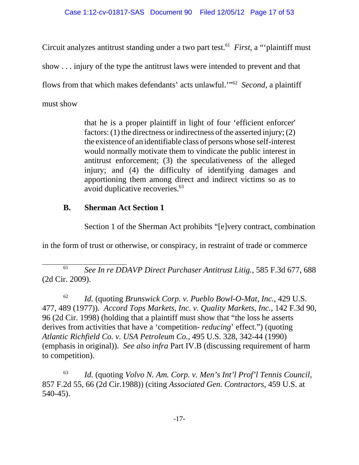Circuit analyzes antitrust standing under a two part test.<sup>61</sup> First, a "plaintiff must" show . . . injury of the type the antitrust laws were intended to prevent and that flows from that which makes defendants' acts unlawful.'"62 *Second*, a plaintiff must show

> that he is a proper plaintiff in light of four 'efficient enforcer' factors: (1) the directness or indirectness of the asserted injury; (2) the existence of an identifiable class of persons whose self-interest would normally motivate them to vindicate the public interest in antitrust enforcement; (3) the speculativeness of the alleged injury; and (4) the difficulty of identifying damages and apportioning them among direct and indirect victims so as to avoid duplicative recoveries.<sup>63</sup>

# **B. Sherman Act Section 1**

Section 1 of the Sherman Act prohibits "[e]very contract, combination

in the form of trust or otherwise, or conspiracy, in restraint of trade or commerce

<sup>61</sup> *See In re DDAVP Direct Purchaser Antitrust Litig.*, 585 F.3d 677, 688 (2d Cir. 2009).

<sup>62</sup> *Id.* (quoting *Brunswick Corp. v. Pueblo Bowl-O-Mat, Inc.*, 429 U.S. 477, 489 (1977))*. Accord Tops Markets, Inc. v. Quality Markets, Inc.*, 142 F.3d 90, 96 (2d Cir. 1998) (holding that a plaintiff must show that "the loss he asserts derives from activities that have a 'competition- *reducing*' effect.") (quoting *Atlantic Richfield Co. v. USA Petroleum Co.*, 495 U.S. 328, 342-44 (1990) (emphasis in original)). *See also infra* Part IV.B (discussing requirement of harm to competition).

<sup>63</sup> *Id.* (quoting *Volvo N. Am. Corp. v. Men's Int'l Prof'l Tennis Council*, 857 F.2d 55, 66 (2d Cir.1988)) (citing *Associated Gen. Contractors*, 459 U.S. at 540-45).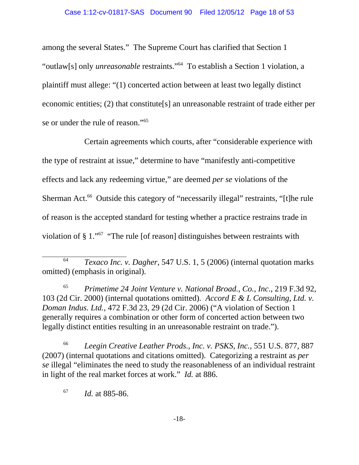among the several States." The Supreme Court has clarified that Section 1 "outlaw[s] only *unreasonable* restraints."64 To establish a Section 1 violation, a plaintiff must allege: "(1) concerted action between at least two legally distinct economic entities; (2) that constitute[s] an unreasonable restraint of trade either per se or under the rule of reason."<sup>65</sup>

Certain agreements which courts, after "considerable experience with the type of restraint at issue," determine to have "manifestly anti-competitive effects and lack any redeeming virtue," are deemed *per se* violations of the Sherman Act.<sup>66</sup> Outside this category of "necessarily illegal" restraints, "[t]he rule of reason is the accepted standard for testing whether a practice restrains trade in violation of § 1."67 "The rule [of reason] distinguishes between restraints with

<sup>65</sup> *Primetime 24 Joint Venture v. National Broad., Co., Inc*., 219 F.3d 92, 103 (2d Cir. 2000) (internal quotations omitted). *Accord E & L Consulting, Ltd. v. Doman Indus. Ltd.*, 472 F.3d 23, 29 (2d Cir. 2006) ("A violation of Section 1 generally requires a combination or other form of concerted action between two legally distinct entities resulting in an unreasonable restraint on trade.").

<sup>66</sup> *Leegin Creative Leather Prods., Inc. v. PSKS, Inc.*, 551 U.S. 877, 887 (2007) (internal quotations and citations omitted). Categorizing a restraint as *per se* illegal "eliminates the need to study the reasonableness of an individual restraint in light of the real market forces at work." *Id.* at 886.

<sup>67</sup> *Id.* at 885-86.

<sup>64</sup> *Texaco Inc. v. Dagher*, 547 U.S. 1, 5 (2006) (internal quotation marks omitted) (emphasis in original).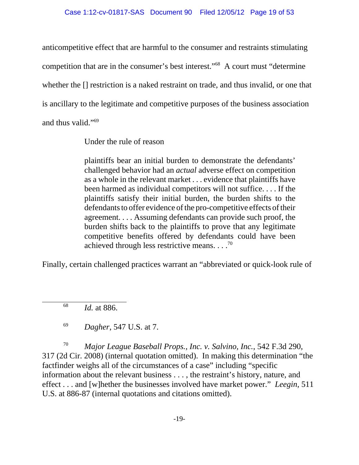anticompetitive effect that are harmful to the consumer and restraints stimulating competition that are in the consumer's best interest."68 A court must "determine whether the [] restriction is a naked restraint on trade, and thus invalid, or one that is ancillary to the legitimate and competitive purposes of the business association and thus valid."69

Under the rule of reason

plaintiffs bear an initial burden to demonstrate the defendants' challenged behavior had an *actual* adverse effect on competition as a whole in the relevant market . . . evidence that plaintiffs have been harmed as individual competitors will not suffice. . . . If the plaintiffs satisfy their initial burden, the burden shifts to the defendants to offer evidence of the pro-competitive effects of their agreement. . . . Assuming defendants can provide such proof, the burden shifts back to the plaintiffs to prove that any legitimate competitive benefits offered by defendants could have been achieved through less restrictive means.  $\ldots$ <sup>70</sup>

Finally, certain challenged practices warrant an "abbreviated or quick-look rule of

<sup>68</sup> *Id.* at 886.

<sup>69</sup> *Dagher*, 547 U.S. at 7.

<sup>70</sup> *Major League Baseball Props., Inc. v. Salvino, Inc.*, 542 F.3d 290, 317 (2d Cir. 2008) (internal quotation omitted). In making this determination "the factfinder weighs all of the circumstances of a case" including "specific information about the relevant business . . . , the restraint's history, nature, and effect . . . and [w]hether the businesses involved have market power." *Leegin*, 511 U.S. at 886-87 (internal quotations and citations omitted).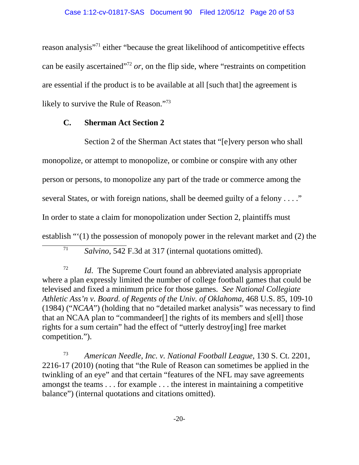reason analysis"71 either "because the great likelihood of anticompetitive effects can be easily ascertained<sup> $272$ </sup> *or*, on the flip side, where "restraints on competition" are essential if the product is to be available at all [such that] the agreement is likely to survive the Rule of Reason."73

#### **C. Sherman Act Section 2**

Section 2 of the Sherman Act states that "[e]very person who shall monopolize, or attempt to monopolize, or combine or conspire with any other person or persons, to monopolize any part of the trade or commerce among the several States, or with foreign nations, shall be deemed guilty of a felony . . . ." In order to state a claim for monopolization under Section 2, plaintiffs must establish "'(1) the possession of monopoly power in the relevant market and (2) the

<sup>72</sup> *Id*. The Supreme Court found an abbreviated analysis appropriate where a plan expressly limited the number of college football games that could be televised and fixed a minimum price for those games. *See National Collegiate Athletic Ass'n v. Board. of Regents of the Univ. of Oklahoma*, 468 U.S. 85, 109-10 (1984) ("*NCAA*") (holding that no "detailed market analysis" was necessary to find that an NCAA plan to "commandeer[] the rights of its members and s[ell] those rights for a sum certain" had the effect of "utterly destroy[ing] free market competition.").

<sup>73</sup> *American Needle, Inc. v. National Football League*, 130 S. Ct. 2201, 2216-17 (2010) (noting that "the Rule of Reason can sometimes be applied in the twinkling of an eye" and that certain "features of the NFL may save agreements amongst the teams . . . for example . . . the interest in maintaining a competitive balance") (internal quotations and citations omitted).

<sup>71</sup> *Salvino*, 542 F.3d at 317 (internal quotations omitted).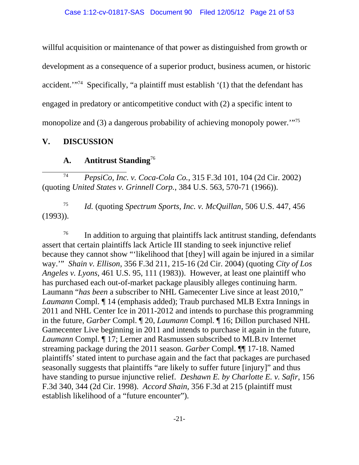willful acquisition or maintenance of that power as distinguished from growth or development as a consequence of a superior product, business acumen, or historic accident.'"74 Specifically, "a plaintiff must establish '(1) that the defendant has engaged in predatory or anticompetitive conduct with (2) a specific intent to monopolize and (3) a dangerous probability of achieving monopoly power."<sup>75</sup>

## **V. DISCUSSION**

## **A. Antitrust Standing**<sup>76</sup>

<sup>74</sup> *PepsiCo, Inc. v. Coca-Cola Co.*, 315 F.3d 101, 104 (2d Cir. 2002) (quoting *United States v. Grinnell Corp.*, 384 U.S. 563, 570-71 (1966)).

<sup>75</sup> *Id.* (quoting *Spectrum Sports, Inc. v. McQuillan*, 506 U.S. 447, 456 (1993)).

<sup>76</sup> In addition to arguing that plaintiffs lack antitrust standing, defendants assert that certain plaintiffs lack Article III standing to seek injunctive relief because they cannot show "'likelihood that [they] will again be injured in a similar way.'" *Shain v. Ellison*, 356 F.3d 211, 215-16 (2d Cir. 2004) (quoting *City of Los Angeles v. Lyons*, 461 U.S. 95, 111 (1983)). However, at least one plaintiff who has purchased each out-of-market package plausibly alleges continuing harm. Laumann "*has been* a subscriber to NHL Gamecenter Live since at least 2010," *Laumann* Compl. ¶ 14 (emphasis added); Traub purchased MLB Extra Innings in 2011 and NHL Center Ice in 2011-2012 and intends to purchase this programming in the future, *Garber* Compl. ¶ 20, *Laumann* Compl. ¶ 16; Dillon purchased NHL Gamecenter Live beginning in 2011 and intends to purchase it again in the future, *Laumann* Compl. ¶ 17; Lerner and Rasmussen subscribed to MLB.tv Internet streaming package during the 2011 season. *Garber* Compl. ¶¶ 17-18. Named plaintiffs' stated intent to purchase again and the fact that packages are purchased seasonally suggests that plaintiffs "are likely to suffer future [injury]" and thus have standing to pursue injunctive relief. *Deshawn E. by Charlotte E. v. Safir*, 156 F.3d 340, 344 (2d Cir. 1998). *Accord Shain*, 356 F.3d at 215 (plaintiff must establish likelihood of a "future encounter").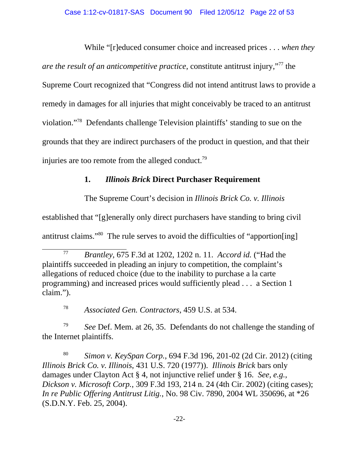While "[r]educed consumer choice and increased prices . . . *when they are the result of an anticompetitive practice*, constitute antitrust injury,"77 the Supreme Court recognized that "Congress did not intend antitrust laws to provide a remedy in damages for all injuries that might conceivably be traced to an antitrust violation."78 Defendants challenge Television plaintiffs' standing to sue on the grounds that they are indirect purchasers of the product in question, and that their injuries are too remote from the alleged conduct.<sup>79</sup>

# **1.** *Illinois Brick* **Direct Purchaser Requirement**

The Supreme Court's decision in *Illinois Brick Co. v. Illinois*

established that "[g]enerally only direct purchasers have standing to bring civil

antitrust claims."80 The rule serves to avoid the difficulties of "apportion[ing]

<sup>79</sup> *See* Def. Mem. at 26, 35. Defendants do not challenge the standing of the Internet plaintiffs.

<sup>80</sup> *Simon v. KeySpan Corp.*, 694 F.3d 196, 201-02 (2d Cir. 2012) (citing *Illinois Brick Co. v. Illinois*, 431 U.S. 720 (1977)). *Illinois Brick* bars only damages under Clayton Act § 4, not injunctive relief under § 16. *See, e.g.*, *Dickson v. Microsoft Corp.*, 309 F.3d 193, 214 n. 24 (4th Cir. 2002) (citing cases); *In re Public Offering Antitrust Litig.*, No. 98 Civ. 7890, 2004 WL 350696, at \*26 (S.D.N.Y. Feb. 25, 2004).

<sup>77</sup> *Brantley*, 675 F.3d at 1202, 1202 n. 11. *Accord id.* ("Had the plaintiffs succeeded in pleading an injury to competition, the complaint's allegations of reduced choice (due to the inability to purchase a la carte programming) and increased prices would sufficiently plead . . . a Section 1 claim.").

<sup>78</sup> *Associated Gen. Contractors*, 459 U.S. at 534.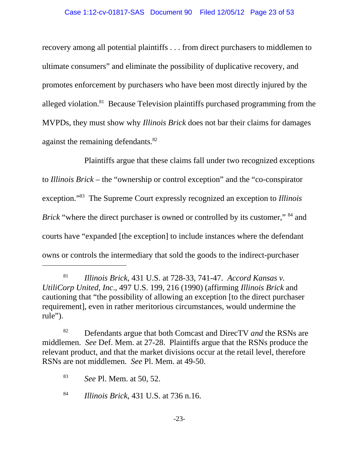recovery among all potential plaintiffs . . . from direct purchasers to middlemen to ultimate consumers" and eliminate the possibility of duplicative recovery, and promotes enforcement by purchasers who have been most directly injured by the alleged violation.81 Because Television plaintiffs purchased programming from the MVPDs, they must show why *Illinois Brick* does not bar their claims for damages against the remaining defendants.<sup>82</sup>

Plaintiffs argue that these claims fall under two recognized exceptions to *Illinois Brick* – the "ownership or control exception" and the "co-conspirator exception."83 The Supreme Court expressly recognized an exception to *Illinois Brick* "where the direct purchaser is owned or controlled by its customer," <sup>84</sup> and courts have "expanded [the exception] to include instances where the defendant owns or controls the intermediary that sold the goods to the indirect-purchaser

<sup>81</sup> *Illinois Brick*, 431 U.S. at 728-33, 741-47. *Accord Kansas v. UtiliCorp United, Inc*., 497 U.S. 199, 216 (1990) (affirming *Illinois Brick* and cautioning that "the possibility of allowing an exception [to the direct purchaser requirement], even in rather meritorious circumstances, would undermine the rule").

<sup>82</sup> Defendants argue that both Comcast and DirecTV *and* the RSNs are middlemen. *See* Def. Mem. at 27-28. Plaintiffs argue that the RSNs produce the relevant product, and that the market divisions occur at the retail level, therefore RSNs are not middlemen. *See* Pl. Mem. at 49-50.

<sup>83</sup> *See* Pl. Mem. at 50, 52.

<sup>84</sup> *Illinois Brick*, 431 U.S. at 736 n.16.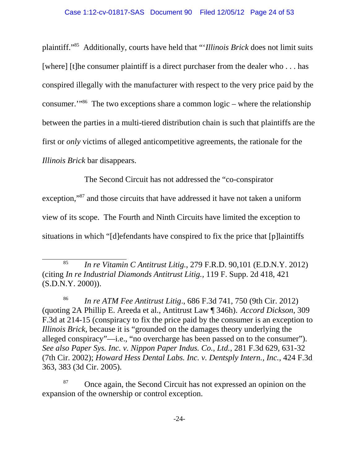plaintiff."85 Additionally, courts have held that "'*Illinois Brick* does not limit suits [where] [t]he consumer plaintiff is a direct purchaser from the dealer who . . . has conspired illegally with the manufacturer with respect to the very price paid by the consumer.'"86 The two exceptions share a common logic – where the relationship between the parties in a multi-tiered distribution chain is such that plaintiffs are the first or *only* victims of alleged anticompetitive agreements, the rationale for the *Illinois Brick* bar disappears.

The Second Circuit has not addressed the "co-conspirator exception,"87 and those circuits that have addressed it have not taken a uniform view of its scope. The Fourth and Ninth Circuits have limited the exception to situations in which "[d]efendants have conspired to fix the price that [p]laintiffs

<sup>85</sup> *In re Vitamin C Antitrust Litig.*, 279 F.R.D. 90,101 (E.D.N.Y. 2012) (citing *In re Industrial Diamonds Antitrust Litig.*, 119 F. Supp. 2d 418, 421 (S.D.N.Y. 2000)).

<sup>86</sup> *In re ATM Fee Antitrust Litig*., 686 F.3d 741, 750 (9th Cir. 2012) (quoting 2A Phillip E. Areeda et al., Antitrust Law ¶ 346h). *Accord Dickson*, 309 F.3d at 214-15 (conspiracy to fix the price paid by the consumer is an exception to *Illinois Brick*, because it is "grounded on the damages theory underlying the alleged conspiracy"—i.e., "no overcharge has been passed on to the consumer"). *See also Paper Sys. Inc. v. Nippon Paper Indus. Co., Ltd.*, 281 F.3d 629, 631-32 (7th Cir. 2002); *Howard Hess Dental Labs. Inc. v. Dentsply Intern., Inc.*, 424 F.3d 363, 383 (3d Cir. 2005).

<sup>&</sup>lt;sup>87</sup> Once again, the Second Circuit has not expressed an opinion on the expansion of the ownership or control exception.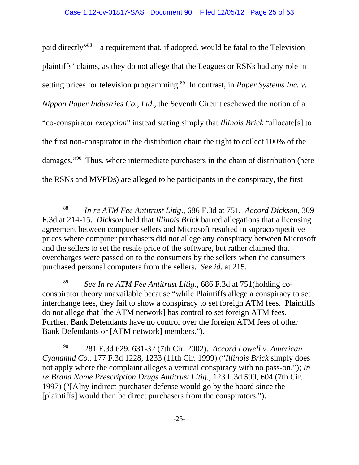paid directly"88 – a requirement that, if adopted, would be fatal to the Television plaintiffs' claims, as they do not allege that the Leagues or RSNs had any role in setting prices for television programming.<sup>89</sup> In contrast, in *Paper Systems Inc. v. Nippon Paper Industries Co., Ltd.*, the Seventh Circuit eschewed the notion of a "co-conspirator *exception*" instead stating simply that *Illinois Brick* "allocate[s] to the first non-conspirator in the distribution chain the right to collect 100% of the damages."90 Thus, where intermediate purchasers in the chain of distribution (here the RSNs and MVPDs) are alleged to be participants in the conspiracy, the first

<sup>88</sup> *In re ATM Fee Antitrust Litig*., 686 F.3d at 751*. Accord Dickson*, 309 F.3d at 214-15. *Dickson* held that *Illinois Brick* barred allegations that a licensing agreement between computer sellers and Microsoft resulted in supracompetitive prices where computer purchasers did not allege any conspiracy between Microsoft and the sellers to set the resale price of the software, but rather claimed that overcharges were passed on to the consumers by the sellers when the consumers purchased personal computers from the sellers. *See id.* at 215.

<sup>89</sup> *See In re ATM Fee Antitrust Litig*., 686 F.3d at 751(holding coconspirator theory unavailable because "while Plaintiffs allege a conspiracy to set interchange fees, they fail to show a conspiracy to set foreign ATM fees. Plaintiffs do not allege that [the ATM network] has control to set foreign ATM fees. Further, Bank Defendants have no control over the foreign ATM fees of other Bank Defendants or [ATM network] members.").

<sup>90</sup> 281 F.3d 629, 631-32 (7th Cir. 2002). *Accord Lowell v. American Cyanamid Co.*, 177 F.3d 1228, 1233 (11th Cir. 1999) ("*Illinois Brick* simply does not apply where the complaint alleges a vertical conspiracy with no pass-on."); *In re Brand Name Prescription Drugs Antitrust Litig.*, 123 F.3d 599, 604 (7th Cir. 1997) ("[A]ny indirect-purchaser defense would go by the board since the [plaintiffs] would then be direct purchasers from the conspirators.").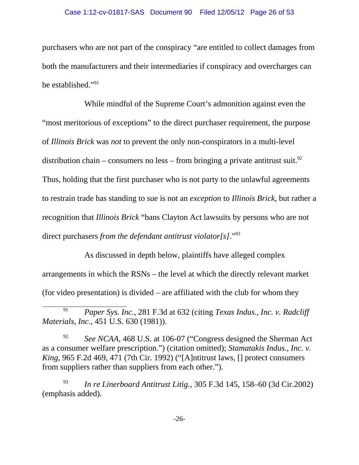purchasers who are not part of the conspiracy "are entitled to collect damages from both the manufacturers and their intermediaries if conspiracy and overcharges can be established."91

While mindful of the Supreme Court's admonition against even the "most meritorious of exceptions" to the direct purchaser requirement, the purpose of *Illinois Brick* was *not* to prevent the only non-conspirators in a multi-level distribution chain – consumers no less – from bringing a private antitrust suit.<sup>92</sup> Thus, holding that the first purchaser who is not party to the unlawful agreements to restrain trade has standing to sue is not an *exception* to *Illinois Brick*, but rather a recognition that *Illinois Brick* "bans Clayton Act lawsuits by persons who are not direct purchasers *from the defendant antitrust violator[s]*."93

As discussed in depth below, plaintiffs have alleged complex arrangements in which the RSNs – the level at which the directly relevant market (for video presentation) is divided – are affiliated with the club for whom they

<sup>93</sup> *In re Linerboard Antitrust Litig.*, 305 F.3d 145, 158–60 (3d Cir.2002) (emphasis added).

<sup>91</sup> *Paper Sys. Inc.*, 281 F.3d at 632 (citing *Texas Indus., Inc. v. Radcliff Materials, Inc.*, 451 U.S. 630 (1981)).

<sup>&</sup>lt;sup>92</sup> *See NCAA*, 468 U.S. at 106-07 ("Congress designed the Sherman Act" as a consumer welfare prescription.") (citation omitted); *Stamatakis Indus., Inc. v. King*, 965 F.2d 469, 471 (7th Cir. 1992) ("[A]ntitrust laws, [] protect consumers from suppliers rather than suppliers from each other.").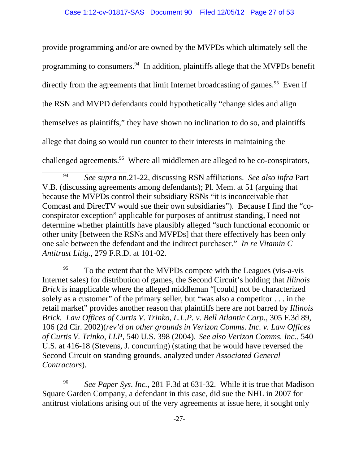provide programming and/or are owned by the MVPDs which ultimately sell the programming to consumers.<sup>94</sup> In addition, plaintiffs allege that the MVPDs benefit directly from the agreements that limit Internet broadcasting of games.<sup>95</sup> Even if the RSN and MVPD defendants could hypothetically "change sides and align themselves as plaintiffs," they have shown no inclination to do so, and plaintiffs allege that doing so would run counter to their interests in maintaining the challenged agreements.<sup>96</sup> Where all middlemen are alleged to be co-conspirators,

 $^{95}$  To the extent that the MVPDs compete with the Leagues (vis-a-vis Internet sales) for distribution of games, the Second Circuit's holding that *Illinois Brick* is inapplicable where the alleged middleman "[could] not be characterized solely as a customer" of the primary seller, but "was also a competitor . . . in the retail market" provides another reason that plaintiffs here are not barred by *Illinois Brick. Law Offices of Curtis V. Trinko, L.L.P. v. Bell Atlantic Corp.*, 305 F.3d 89, 106 (2d Cir. 2002)(*rev'd on other grounds in Verizon Comms. Inc. v. Law Offices of Curtis V. Trinko, LLP*, 540 U.S. 398 (2004). *See also Verizon Comms. Inc.*, 540 U.S. at 416-18 (Stevens, J. concurring) (stating that he would have reversed the Second Circuit on standing grounds, analyzed under *Associated General Contractors*).

<sup>96</sup> *See Paper Sys*. *Inc.*, 281 F.3d at 631-32. While it is true that Madison Square Garden Company, a defendant in this case, did sue the NHL in 2007 for antitrust violations arising out of the very agreements at issue here, it sought only

<sup>94</sup> *See supra* nn.21-22, discussing RSN affiliations. *See also infra* Part V.B. (discussing agreements among defendants); Pl. Mem. at 51 (arguing that because the MVPDs control their subsidiary RSNs "it is inconceivable that Comcast and DirecTV would sue their own subsidiaries"). Because I find the "coconspirator exception" applicable for purposes of antitrust standing, I need not determine whether plaintiffs have plausibly alleged "such functional economic or other unity [between the RSNs and MVPDs] that there effectively has been only one sale between the defendant and the indirect purchaser." *In re Vitamin C Antitrust Litig.*, 279 F.R.D. at 101-02.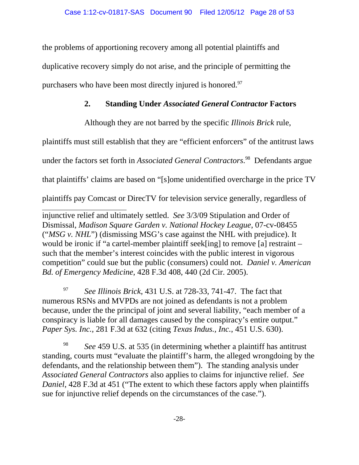the problems of apportioning recovery among all potential plaintiffs and duplicative recovery simply do not arise, and the principle of permitting the purchasers who have been most directly injured is honored.<sup>97</sup>

# **2. Standing Under** *Associated General Contractor* **Factors**

Although they are not barred by the specific *Illinois Brick* rule,

plaintiffs must still establish that they are "efficient enforcers" of the antitrust laws

under the factors set forth in *Associated General Contractors*. 98 Defendants argue

that plaintiffs' claims are based on "[s]ome unidentified overcharge in the price TV

plaintiffs pay Comcast or DirecTV for television service generally, regardless of

injunctive relief and ultimately settled. *See* 3/3/09 Stipulation and Order of Dismissal, *Madison Square Garden v. National Hockey League*, 07-cv-08455 ("*MSG v. NHL*") (dismissing MSG's case against the NHL with prejudice). It would be ironic if "a cartel-member plaintiff seek[ing] to remove [a] restraint – such that the member's interest coincides with the public interest in vigorous competition" could sue but the public (consumers) could not. *Daniel v. American Bd. of Emergency Medicine*, 428 F.3d 408, 440 (2d Cir. 2005).

<sup>97</sup> *See Illinois Brick*, 431 U.S. at 728-33, 741-47. The fact that numerous RSNs and MVPDs are not joined as defendants is not a problem because, under the the principal of joint and several liability, "each member of a conspiracy is liable for all damages caused by the conspiracy's entire output." *Paper Sys. Inc.*, 281 F.3d at 632 (citing *Texas Indus., Inc.*, 451 U.S. 630).

See 459 U.S. at 535 (in determining whether a plaintiff has antitrust standing, courts must "evaluate the plaintiff's harm, the alleged wrongdoing by the defendants, and the relationship between them"). The standing analysis under *Associated General Contractors* also applies to claims for injunctive relief. *See Daniel*, 428 F.3d at 451 ("The extent to which these factors apply when plaintiffs sue for injunctive relief depends on the circumstances of the case.").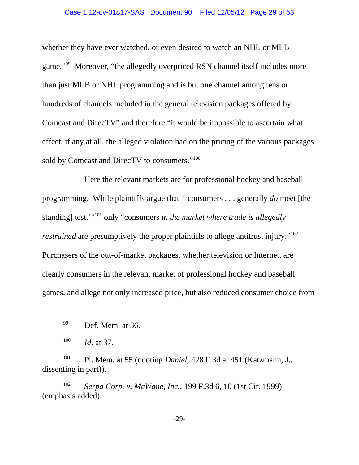#### Case 1:12-cv-01817-SAS Document 90 Filed 12/05/12 Page 29 of 53

whether they have ever watched, or even desired to watch an NHL or MLB game."99 Moreover, "the allegedly overpriced RSN channel itself includes more than just MLB or NHL programming and is but one channel among tens or hundreds of channels included in the general television packages offered by Comcast and DirecTV" and therefore "it would be impossible to ascertain what effect, if any at all, the alleged violation had on the pricing of the various packages sold by Comcast and DirecTV to consumers."<sup>100</sup>

Here the relevant markets are for professional hockey and baseball programming. While plaintiffs argue that "'consumers . . . generally *do* meet [the standing] test,'"101 only "consumers *in the market where trade is allegedly restrained* are presumptively the proper plaintiffs to allege antitrust injury."<sup>102</sup> Purchasers of the out-of-market packages, whether television or Internet, are clearly consumers in the relevant market of professional hockey and baseball games, and allege not only increased price, but also reduced consumer choice from

<sup>101</sup> Pl. Mem. at 55 (quoting *Daniel*, 428 F.3d at 451 (Katzmann, J., dissenting in part)).

<sup>102</sup> *Serpa Corp. v. McWane, Inc.*, 199 F.3d 6, 10 (1st Cir. 1999) (emphasis added).

-29-

<sup>99</sup> Def. Mem. at 36.

<sup>100</sup> *Id.* at 37.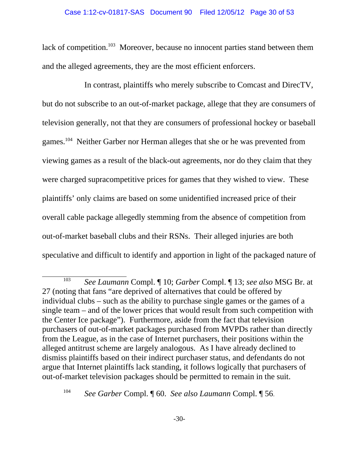lack of competition.<sup>103</sup> Moreover, because no innocent parties stand between them and the alleged agreements, they are the most efficient enforcers.

In contrast, plaintiffs who merely subscribe to Comcast and DirecTV, but do not subscribe to an out-of-market package, allege that they are consumers of television generally, not that they are consumers of professional hockey or baseball games.104 Neither Garber nor Herman alleges that she or he was prevented from viewing games as a result of the black-out agreements, nor do they claim that they were charged supracompetitive prices for games that they wished to view. These plaintiffs' only claims are based on some unidentified increased price of their overall cable package allegedly stemming from the absence of competition from out-of-market baseball clubs and their RSNs. Their alleged injuries are both speculative and difficult to identify and apportion in light of the packaged nature of

<sup>103</sup> *See Laumann* Compl. ¶ 10; *Garber* Compl. ¶ 13; *see also* MSG Br. at 27 (noting that fans "are deprived of alternatives that could be offered by individual clubs – such as the ability to purchase single games or the games of a single team – and of the lower prices that would result from such competition with the Center Ice package"). Furthermore, aside from the fact that television purchasers of out-of-market packages purchased from MVPDs rather than directly from the League, as in the case of Internet purchasers, their positions within the alleged antitrust scheme are largely analogous. As I have already declined to dismiss plaintiffs based on their indirect purchaser status, and defendants do not argue that Internet plaintiffs lack standing, it follows logically that purchasers of out-of-market television packages should be permitted to remain in the suit.

<sup>104</sup> *See Garber* Compl. ¶ 60. *See also Laumann* Compl. ¶ 56.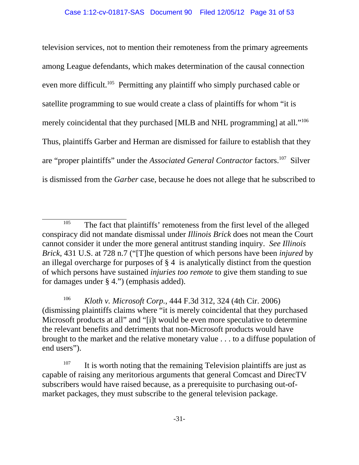television services, not to mention their remoteness from the primary agreements among League defendants, which makes determination of the causal connection even more difficult.105Permitting any plaintiff who simply purchased cable or satellite programming to sue would create a class of plaintiffs for whom "it is merely coincidental that they purchased [MLB and NHL programming] at all."<sup>106</sup> Thus, plaintiffs Garber and Herman are dismissed for failure to establish that they are "proper plaintiffs" under the *Associated General Contractor* factors.107 Silver is dismissed from the *Garber* case, because he does not allege that he subscribed to

<sup>106</sup> *Kloth v. Microsoft Corp.*, 444 F.3d 312, 324 (4th Cir. 2006) (dismissing plaintiffs claims where "it is merely coincidental that they purchased Microsoft products at all" and "[i]t would be even more speculative to determine the relevant benefits and detriments that non-Microsoft products would have brought to the market and the relative monetary value . . . to a diffuse population of end users").

<sup>&</sup>lt;sup>105</sup> The fact that plaintiffs' remoteness from the first level of the alleged conspiracy did not mandate dismissal under *Illinois Brick* does not mean the Court cannot consider it under the more general antitrust standing inquiry. *See Illinois Brick*, 431 U.S. at 728 n.7 ("[T]he question of which persons have been *injured* by an illegal overcharge for purposes of § 4 is analytically distinct from the question of which persons have sustained *injuries too remote* to give them standing to sue for damages under § 4.") (emphasis added).

 $107$  It is worth noting that the remaining Television plaintiffs are just as capable of raising any meritorious arguments that general Comcast and DirecTV subscribers would have raised because, as a prerequisite to purchasing out-ofmarket packages, they must subscribe to the general television package.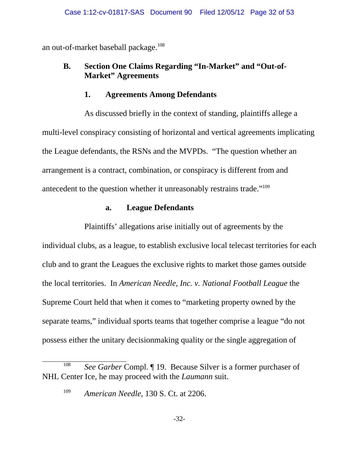an out-of-market baseball package.<sup>108</sup>

# **B. Section One Claims Regarding "In-Market" and "Out-of-Market" Agreements**

#### **1. Agreements Among Defendants**

As discussed briefly in the context of standing, plaintiffs allege a multi-level conspiracy consisting of horizontal and vertical agreements implicating the League defendants, the RSNs and the MVPDs."The question whether an arrangement is a contract, combination, or conspiracy is different from and antecedent to the question whether it unreasonably restrains trade."109

# **a. League Defendants**

Plaintiffs' allegations arise initially out of agreements by the individual clubs, as a league, to establish exclusive local telecast territories for each club and to grant the Leagues the exclusive rights to market those games outside the local territories. In *American Needle, Inc. v. National Football League* the Supreme Court held that when it comes to "marketing property owned by the separate teams," individual sports teams that together comprise a league "do not possess either the unitary decisionmaking quality or the single aggregation of

<sup>108</sup> *See Garber* Compl. ¶ 19. Because Silver is a former purchaser of NHL Center Ice, he may proceed with the *Laumann* suit.

<sup>109</sup> *American Needle*, 130 S. Ct. at 2206.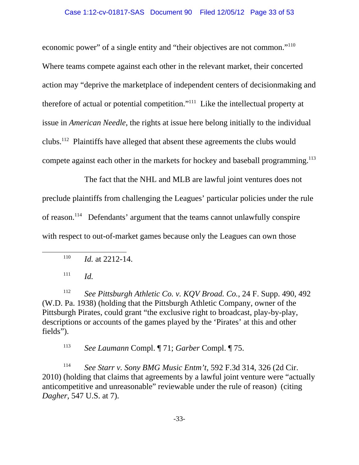economic power" of a single entity and "their objectives are not common."<sup>110</sup> Where teams compete against each other in the relevant market, their concerted action may "deprive the marketplace of independent centers of decisionmaking and therefore of actual or potential competition."111 Like the intellectual property at issue in *American Needle*, the rights at issue here belong initially to the individual clubs.112 Plaintiffs have alleged that absent these agreements the clubs would compete against each other in the markets for hockey and baseball programming.<sup>113</sup>

The fact that the NHL and MLB are lawful joint ventures does not preclude plaintiffs from challenging the Leagues' particular policies under the rule of reason.114 Defendants' argument that the teams cannot unlawfully conspire with respect to out-of-market games because only the Leagues can own those

 $111$  *Id.* 

<sup>112</sup> *See Pittsburgh Athletic Co. v. KQV Broad. Co.*, 24 F. Supp. 490, 492 (W.D. Pa. 1938) (holding that the Pittsburgh Athletic Company, owner of the Pittsburgh Pirates, could grant "the exclusive right to broadcast, play-by-play, descriptions or accounts of the games played by the 'Pirates' at this and other fields").

<sup>113</sup> *See Laumann* Compl. ¶ 71; *Garber* Compl. ¶ 75.

<sup>114</sup> *See Starr v. Sony BMG Music Entm't*, 592 F.3d 314, 326 (2d Cir. 2010) (holding that claims that agreements by a lawful joint venture were "actually anticompetitive and unreasonable" reviewable under the rule of reason) (citing *Dagher*, 547 U.S. at 7).

<sup>110</sup> *Id.* at 2212-14.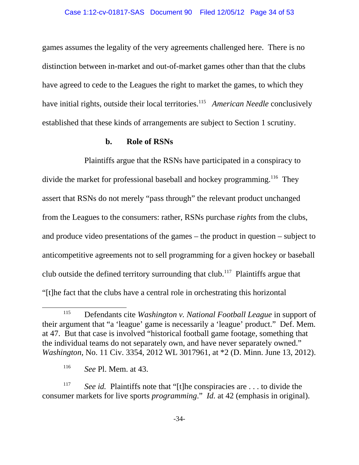games assumes the legality of the very agreements challenged here. There is no distinction between in-market and out-of-market games other than that the clubs have agreed to cede to the Leagues the right to market the games, to which they have initial rights, outside their local territories.<sup>115</sup> American Needle conclusively established that these kinds of arrangements are subject to Section 1 scrutiny.

#### **b. Role of RSNs**

Plaintiffs argue that the RSNs have participated in a conspiracy to divide the market for professional baseball and hockey programming.<sup>116</sup> They assert that RSNs do not merely "pass through" the relevant product unchanged from the Leagues to the consumers: rather, RSNs purchase *rights* from the clubs, and produce video presentations of the games – the product in question – subject to anticompetitive agreements not to sell programming for a given hockey or baseball club outside the defined territory surrounding that club.<sup>117</sup> Plaintiffs argue that "[t]he fact that the clubs have a central role in orchestrating this horizontal

<sup>115</sup> Defendants cite *Washington v. National Football League* in support of their argument that "a 'league' game is necessarily a 'league' product." Def. Mem. at 47. But that case is involved "historical football game footage, something that the individual teams do not separately own, and have never separately owned." *Washington*, No. 11 Civ. 3354, 2012 WL 3017961, at \*2 (D. Minn. June 13, 2012).

<sup>116</sup> *See* Pl. Mem. at 43.

<sup>&</sup>lt;sup>117</sup> *See id.* Plaintiffs note that "[t]he conspiracies are ... to divide the consumer markets for live sports *programming*." *Id.* at 42 (emphasis in original).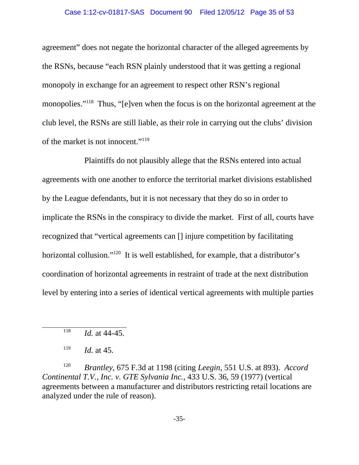#### Case 1:12-cv-01817-SAS Document 90 Filed 12/05/12 Page 35 of 53

agreement" does not negate the horizontal character of the alleged agreements by the RSNs, because "each RSN plainly understood that it was getting a regional monopoly in exchange for an agreement to respect other RSN's regional monopolies."<sup>118</sup> Thus, "[e]ven when the focus is on the horizontal agreement at the club level, the RSNs are still liable, as their role in carrying out the clubs' division of the market is not innocent."119

Plaintiffs do not plausibly allege that the RSNs entered into actual agreements with one another to enforce the territorial market divisions established by the League defendants, but it is not necessary that they do so in order to implicate the RSNs in the conspiracy to divide the market. First of all, courts have recognized that "vertical agreements can [] injure competition by facilitating horizontal collusion."<sup>120</sup> It is well established, for example, that a distributor's coordination of horizontal agreements in restraint of trade at the next distribution level by entering into a series of identical vertical agreements with multiple parties

<sup>118</sup> *Id.* at 44-45.

<sup>120</sup> *Brantley*, 675 F.3d at 1198 (citing *Leegin*, 551 U.S. at 893). *Accord Continental T.V., Inc. v. GTE Sylvania Inc.*, 433 U.S. 36, 59 (1977) (vertical agreements between a manufacturer and distributors restricting retail locations are analyzed under the rule of reason).

 $119$  *Id.* at 45.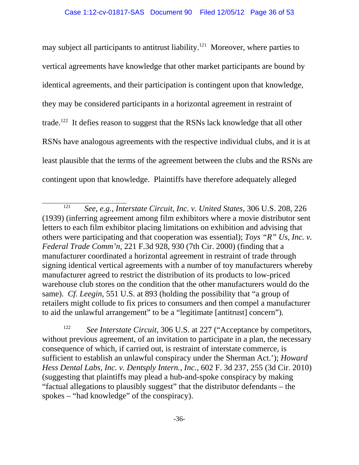may subject all participants to antitrust liability.<sup>121</sup> Moreover, where parties to vertical agreements have knowledge that other market participants are bound by identical agreements, and their participation is contingent upon that knowledge, they may be considered participants in a horizontal agreement in restraint of trade.<sup>122</sup> It defies reason to suggest that the RSNs lack knowledge that all other RSNs have analogous agreements with the respective individual clubs, and it is at least plausible that the terms of the agreement between the clubs and the RSNs are contingent upon that knowledge. Plaintiffs have therefore adequately alleged

<sup>122</sup> *See Interstate Circuit*, 306 U.S. at 227 ("Acceptance by competitors, without previous agreement, of an invitation to participate in a plan, the necessary consequence of which, if carried out, is restraint of interstate commerce, is sufficient to establish an unlawful conspiracy under the Sherman Act.'); *Howard Hess Dental Labs, Inc. v. Dentsply Intern., Inc.*, 602 F. 3d 237, 255 (3d Cir. 2010) (suggesting that plaintiffs may plead a hub-and-spoke conspiracy by making "factual allegations to plausibly suggest" that the distributor defendants – the spokes – "had knowledge" of the conspiracy).

<sup>121</sup> *See, e.g.*, *Interstate Circuit, Inc. v. United States*, 306 U.S. 208, 226 (1939) (inferring agreement among film exhibitors where a movie distributor sent letters to each film exhibitor placing limitations on exhibition and advising that others were participating and that cooperation was essential); *Toys "R" Us, Inc. v. Federal Trade Comm'n,* 221 F.3d 928, 930 (7th Cir. 2000) (finding that a manufacturer coordinated a horizontal agreement in restraint of trade through signing identical vertical agreements with a number of toy manufacturers whereby manufacturer agreed to restrict the distribution of its products to low-priced warehouse club stores on the condition that the other manufacturers would do the same). *Cf. Leegin*, 551 U.S. at 893 (holding the possibility that "a group of retailers might collude to fix prices to consumers and then compel a manufacturer to aid the unlawful arrangement" to be a "legitimate [antitrust] concern")*.*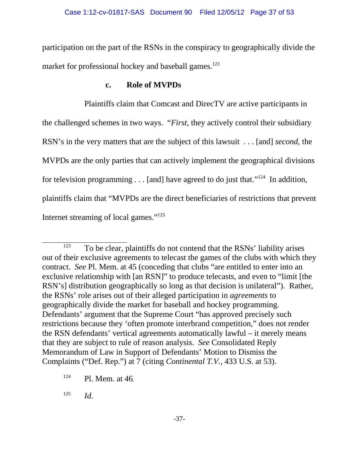participation on the part of the RSNs in the conspiracy to geographically divide the market for professional hockey and baseball games.<sup>123</sup>

#### **c. Role of MVPDs**

Plaintiffs claim that Comcast and DirecTV are active participants in the challenged schemes in two ways. "*First,* they actively control their subsidiary RSN's in the very matters that are the subject of this lawsuit . . . [and] *second,* the MVPDs are the only parties that can actively implement the geographical divisions for television programming  $\dots$  [and] have agreed to do just that."<sup>124</sup> In addition, plaintiffs claim that "MVPDs are the direct beneficiaries of restrictions that prevent Internet streaming of local games."125

<sup>125</sup> *Id.*

 $123$  To be clear, plaintiffs do not contend that the RSNs' liability arises out of their exclusive agreements to telecast the games of the clubs with which they contract. *See* Pl. Mem. at 45 (conceding that clubs "are entitled to enter into an exclusive relationship with [an RSN]" to produce telecasts, and even to "limit [the RSN's] distribution geographically so long as that decision is unilateral"). Rather, the RSNs' role arises out of their alleged participation in *agreements* to geographically divide the market for baseball and hockey programming. Defendants' argument that the Supreme Court "has approved precisely such restrictions because they 'often promote interbrand competition," does not render the RSN defendants' vertical agreements automatically lawful – it merely means that they are subject to rule of reason analysis. *See* Consolidated Reply Memorandum of Law in Support of Defendants' Motion to Dismiss the Complaints ("Def. Rep.") at 7 (citing *Continental T.V.*, 433 U.S. at 53).

 $124$  Pl. Mem. at 46.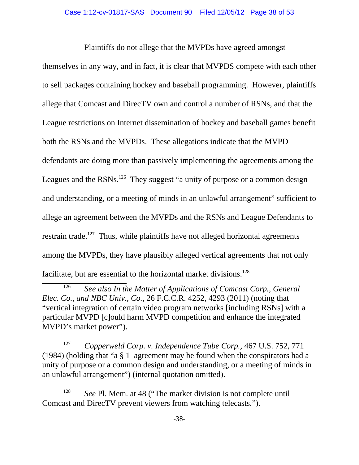Plaintiffs do not allege that the MVPDs have agreed amongst themselves in any way, and in fact, it is clear that MVPDS compete with each other to sell packages containing hockey and baseball programming. However, plaintiffs allege that Comcast and DirecTV own and control a number of RSNs, and that the League restrictions on Internet dissemination of hockey and baseball games benefit both the RSNs and the MVPDs. These allegations indicate that the MVPD defendants are doing more than passively implementing the agreements among the Leagues and the RSNs.<sup>126</sup> They suggest "a unity of purpose or a common design and understanding, or a meeting of minds in an unlawful arrangement" sufficient to allege an agreement between the MVPDs and the RSNs and League Defendants to restrain trade.<sup>127</sup> Thus, while plaintiffs have not alleged horizontal agreements among the MVPDs, they have plausibly alleged vertical agreements that not only facilitate, but are essential to the horizontal market divisions.<sup>128</sup>

<sup>127</sup> *Copperweld Corp. v. Independence Tube Corp.*, 467 U.S. 752, 771 (1984) (holding that "a § 1 agreement may be found when the conspirators had a unity of purpose or a common design and understanding, or a meeting of minds in an unlawful arrangement") (internal quotation omitted).

<sup>128</sup> *See* Pl. Mem. at 48 ("The market division is not complete until Comcast and DirecTV prevent viewers from watching telecasts.").

<sup>126</sup> *See also In the Matter of Applications of Comcast Corp., General Elec. Co., and NBC Univ., Co.*, 26 F.C.C.R. 4252, 4293 (2011) (noting that "vertical integration of certain video program networks [including RSNs] with a particular MVPD [c]ould harm MVPD competition and enhance the integrated MVPD's market power").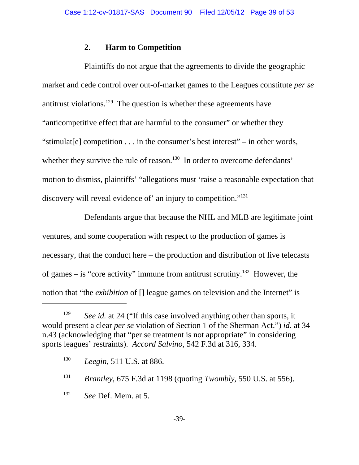#### **2. Harm to Competition**

Plaintiffs do not argue that the agreements to divide the geographic market and cede control over out-of-market games to the Leagues constitute *per se* antitrust violations.<sup>129</sup> The question is whether these agreements have "anticompetitive effect that are harmful to the consumer" or whether they "stimulat[e] competition . . . in the consumer's best interest" – in other words, whether they survive the rule of reason.<sup>130</sup> In order to overcome defendants' motion to dismiss, plaintiffs' "allegations must 'raise a reasonable expectation that discovery will reveal evidence of' an injury to competition."<sup>131</sup>

Defendants argue that because the NHL and MLB are legitimate joint ventures, and some cooperation with respect to the production of games is necessary, that the conduct here – the production and distribution of live telecasts of games – is "core activity" immune from antitrust scrutiny.<sup>132</sup> However, the notion that "the *exhibition* of [] league games on television and the Internet" is

<sup>&</sup>lt;sup>129</sup> *See id.* at 24 ("If this case involved anything other than sports, it would present a clear *per se* violation of Section 1 of the Sherman Act.") *id.* at 34 n.43 (acknowledging that "per se treatment is not appropriate" in considering sports leagues' restraints). *Accord Salvino*, 542 F.3d at 316, 334.

<sup>130</sup> *Leegin*, 511 U.S. at 886.

<sup>131</sup> *Brantley*, 675 F.3d at 1198 (quoting *Twombly*, 550 U.S. at 556).

<sup>132</sup> *See* Def. Mem. at 5.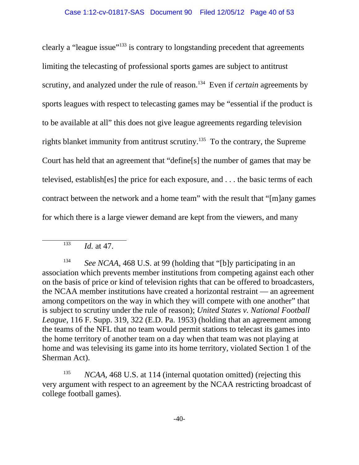clearly a "league issue"133 is contrary to longstanding precedent that agreements limiting the telecasting of professional sports games are subject to antitrust scrutiny, and analyzed under the rule of reason.<sup>134</sup> Even if *certain* agreements by sports leagues with respect to telecasting games may be "essential if the product is to be available at all" this does not give league agreements regarding television rights blanket immunity from antitrust scrutiny.<sup>135</sup> To the contrary, the Supreme Court has held that an agreement that "define[s] the number of games that may be televised, establish[es] the price for each exposure, and . . . the basic terms of each contract between the network and a home team" with the result that "[m]any games for which there is a large viewer demand are kept from the viewers, and many

<sup>134</sup> *See NCAA*, 468 U.S. at 99 (holding that "[b]y participating in an association which prevents member institutions from competing against each other on the basis of price or kind of television rights that can be offered to broadcasters, the NCAA member institutions have created a horizontal restraint — an agreement among competitors on the way in which they will compete with one another" that is subject to scrutiny under the rule of reason); *United States v. National Football League*, 116 F. Supp. 319, 322 (E.D. Pa. 1953) (holding that an agreement among the teams of the NFL that no team would permit stations to telecast its games into the home territory of another team on a day when that team was not playing at home and was televising its game into its home territory, violated Section 1 of the Sherman Act).

<sup>135</sup> *NCAA*, 468 U.S. at 114 (internal quotation omitted) (rejecting this very argument with respect to an agreement by the NCAA restricting broadcast of college football games).

<sup>133</sup> *Id.* at 47.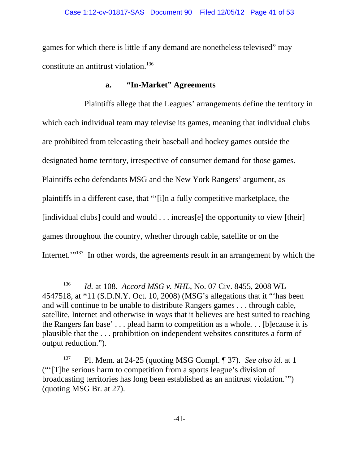games for which there is little if any demand are nonetheless televised" may constitute an antitrust violation.136

# **a. "In-Market" Agreements**

Plaintiffs allege that the Leagues' arrangements define the territory in which each individual team may televise its games, meaning that individual clubs are prohibited from telecasting their baseball and hockey games outside the designated home territory, irrespective of consumer demand for those games. Plaintiffs echo defendants MSG and the New York Rangers' argument, as plaintiffs in a different case, that "'[i]n a fully competitive marketplace, the [individual clubs] could and would . . . increas[e] the opportunity to view [their] games throughout the country, whether through cable, satellite or on the Internet.'"<sup>137</sup> In other words, the agreements result in an arrangement by which the

<sup>136</sup> *Id.* at 108. *Accord MSG v. NHL*, No. 07 Civ. 8455, 2008 WL 4547518, at \*11 (S.D.N.Y. Oct. 10, 2008) (MSG's allegations that it "'has been and will continue to be unable to distribute Rangers games . . . through cable, satellite, Internet and otherwise in ways that it believes are best suited to reaching the Rangers fan base' . . . plead harm to competition as a whole. . . [b]ecause it is plausible that the . . . prohibition on independent websites constitutes a form of output reduction.").

<sup>137</sup> Pl. Mem. at 24-25 (quoting MSG Compl. ¶ 37). *See also id*. at 1 ("'[T]he serious harm to competition from a sports league's division of broadcasting territories has long been established as an antitrust violation.'") (quoting MSG Br. at 27).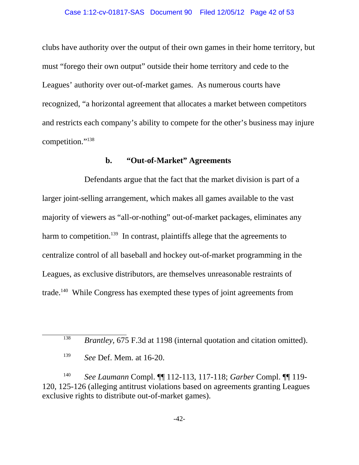clubs have authority over the output of their own games in their home territory, but must "forego their own output" outside their home territory and cede to the Leagues' authority over out-of-market games. As numerous courts have recognized, "a horizontal agreement that allocates a market between competitors and restricts each company's ability to compete for the other's business may injure competition."138

#### **b. "Out-of-Market" Agreements**

Defendants argue that the fact that the market division is part of a larger joint-selling arrangement, which makes all games available to the vast majority of viewers as "all-or-nothing" out-of-market packages, eliminates any harm to competition.<sup>139</sup> In contrast, plaintiffs allege that the agreements to centralize control of all baseball and hockey out-of-market programming in the Leagues, as exclusive distributors, are themselves unreasonable restraints of trade.<sup>140</sup> While Congress has exempted these types of joint agreements from

<sup>140</sup> *See Laumann* Compl. ¶¶ 112-113, 117-118; *Garber* Compl. ¶¶ 119- 120, 125-126 (alleging antitrust violations based on agreements granting Leagues exclusive rights to distribute out-of-market games).

<sup>&</sup>lt;sup>138</sup> *Brantley*, 675 F.3d at 1198 (internal quotation and citation omitted).

<sup>139</sup> *See* Def. Mem. at 16-20.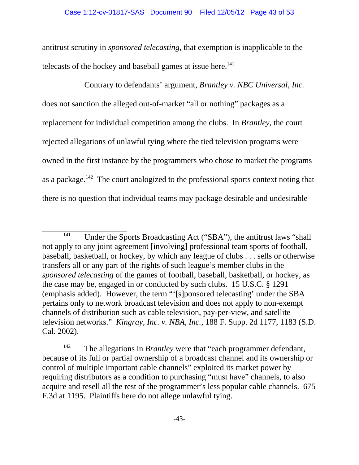antitrust scrutiny in *sponsored telecasting*, that exemption is inapplicable to the telecasts of the hockey and baseball games at issue here.<sup>141</sup>

Contrary to defendants' argument, *Brantley v. NBC Universal, Inc.* does not sanction the alleged out-of-market "all or nothing" packages as a replacement for individual competition among the clubs. In *Brantley*, the court rejected allegations of unlawful tying where the tied television programs were owned in the first instance by the programmers who chose to market the programs as a package.<sup>142</sup> The court analogized to the professional sports context noting that there is no question that individual teams may package desirable and undesirable

 $\frac{141}{141}$  Under the Sports Broadcasting Act ("SBA"), the antitrust laws "shall not apply to any joint agreement [involving] professional team sports of football, baseball, basketball, or hockey, by which any league of clubs . . . sells or otherwise transfers all or any part of the rights of such league's member clubs in the *sponsored telecasting* of the games of football, baseball, basketball, or hockey, as the case may be, engaged in or conducted by such clubs. 15 U.S.C. § 1291 (emphasis added). However, the term "'[s]ponsored telecasting' under the SBA pertains only to network broadcast television and does not apply to non-exempt channels of distribution such as cable television, pay-per-view, and satellite television networks." *Kingray, Inc. v. NBA, Inc.*, 188 F. Supp. 2d 1177, 1183 (S.D. Cal. 2002).

<sup>&</sup>lt;sup>142</sup> The allegations in *Brantley* were that "each programmer defendant, because of its full or partial ownership of a broadcast channel and its ownership or control of multiple important cable channels" exploited its market power by requiring distributors as a condition to purchasing "must have" channels, to also acquire and resell all the rest of the programmer's less popular cable channels. 675 F.3d at 1195. Plaintiffs here do not allege unlawful tying.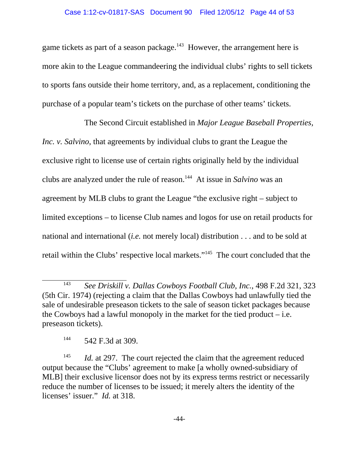game tickets as part of a season package.<sup>143</sup> However, the arrangement here is more akin to the League commandeering the individual clubs' rights to sell tickets to sports fans outside their home territory, and, as a replacement, conditioning the purchase of a popular team's tickets on the purchase of other teams' tickets.

The Second Circuit established in *Major League Baseball Properties, Inc. v. Salvino*, that agreements by individual clubs to grant the League the exclusive right to license use of certain rights originally held by the individual clubs are analyzed under the rule of reason.144 At issue in *Salvino* was an agreement by MLB clubs to grant the League "the exclusive right – subject to limited exceptions – to license Club names and logos for use on retail products for national and international (*i.e.* not merely local) distribution . . . and to be sold at retail within the Clubs' respective local markets."145 The court concluded that the

<sup>143</sup> *See Driskill v. Dallas Cowboys Football Club, Inc.*, 498 F.2d 321, 323 (5th Cir. 1974) (rejecting a claim that the Dallas Cowboys had unlawfully tied the sale of undesirable preseason tickets to the sale of season ticket packages because the Cowboys had a lawful monopoly in the market for the tied product  $-$  i.e. preseason tickets).

<sup>144</sup> 542 F.3d at 309.

<sup>&</sup>lt;sup>145</sup> *Id.* at 297. The court rejected the claim that the agreement reduced output because the "Clubs' agreement to make [a wholly owned-subsidiary of MLB] their exclusive licensor does not by its express terms restrict or necessarily reduce the number of licenses to be issued; it merely alters the identity of the licenses' issuer." *Id.* at 318.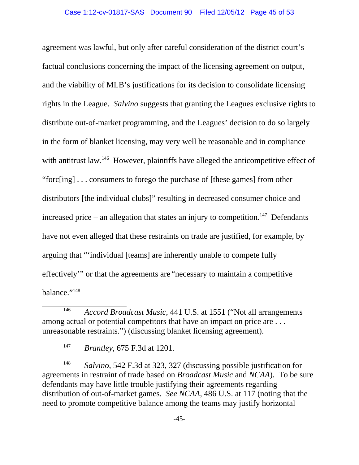agreement was lawful, but only after careful consideration of the district court's factual conclusions concerning the impact of the licensing agreement on output, and the viability of MLB's justifications for its decision to consolidate licensing rights in the League. *Salvino* suggests that granting the Leagues exclusive rights to distribute out-of-market programming, and the Leagues' decision to do so largely in the form of blanket licensing, may very well be reasonable and in compliance with antitrust law.<sup>146</sup> However, plaintiffs have alleged the anticompetitive effect of "forc[ing] . . . consumers to forego the purchase of [these games] from other distributors [the individual clubs]" resulting in decreased consumer choice and increased price – an allegation that states an injury to competition.<sup>147</sup> Defendants have not even alleged that these restraints on trade are justified, for example, by arguing that "'individual [teams] are inherently unable to compete fully effectively'" or that the agreements are "necessary to maintain a competitive balance."<sup>148</sup>

<sup>146</sup> *Accord Broadcast Music*, 441 U.S. at 1551 ("Not all arrangements among actual or potential competitors that have an impact on price are ... unreasonable restraints.") (discussing blanket licensing agreement).

<sup>147</sup> *Brantley*, 675 F.3d at 1201.

<sup>148</sup> *Salvino*, 542 F.3d at 323, 327 (discussing possible justification for agreements in restraint of trade based on *Broadcast Music* and *NCAA*). To be sure defendants may have little trouble justifying their agreements regarding distribution of out-of-market games. *See NCAA*, 486 U.S. at 117 (noting that the need to promote competitive balance among the teams may justify horizontal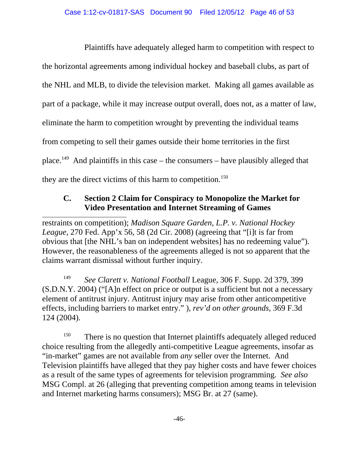Plaintiffs have adequately alleged harm to competition with respect to the horizontal agreements among individual hockey and baseball clubs, as part of the NHL and MLB, to divide the television market. Making all games available as part of a package, while it may increase output overall, does not, as a matter of law, eliminate the harm to competition wrought by preventing the individual teams from competing to sell their games outside their home territories in the first place.<sup>149</sup> And plaintiffs in this case – the consumers – have plausibly alleged that they are the direct victims of this harm to competition.<sup>150</sup>

# **C. Section 2 Claim for Conspiracy to Monopolize the Market for Video Presentation and Internet Streaming of Games**

restraints on competition); *Madison Square Garden, L.P. v. National Hockey League*, 270 Fed. App'x 56, 58 (2d Cir. 2008) (agreeing that "[i]t is far from obvious that [the NHL's ban on independent websites] has no redeeming value"). However, the reasonableness of the agreements alleged is not so apparent that the claims warrant dismissal without further inquiry.

<sup>149</sup> *See Clarett v. National Football* League, 306 F. Supp. 2d 379, 399 (S.D.N.Y. 2004) ("[A]n effect on price or output is a sufficient but not a necessary element of antitrust injury. Antitrust injury may arise from other anticompetitive effects, including barriers to market entry." ), *rev'd on other grounds*, 369 F.3d 124 (2004).

<sup>150</sup> There is no question that Internet plaintiffs adequately alleged reduced choice resulting from the allegedly anti-competitive League agreements, insofar as "in-market" games are not available from *any* seller over the Internet. And Television plaintiffs have alleged that they pay higher costs and have fewer choices as a result of the same types of agreements for television programming. *See also* MSG Compl. at 26 (alleging that preventing competition among teams in television and Internet marketing harms consumers); MSG Br. at 27 (same).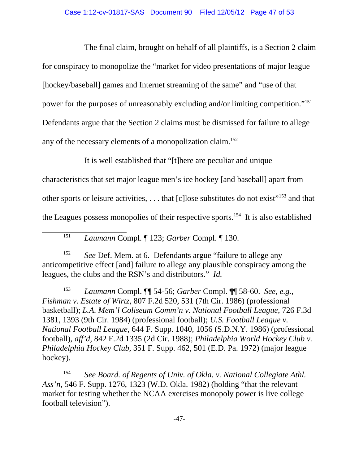The final claim, brought on behalf of all plaintiffs, is a Section 2 claim for conspiracy to monopolize the "market for video presentations of major league [hockey/baseball] games and Internet streaming of the same" and "use of that power for the purposes of unreasonably excluding and/or limiting competition."151 Defendants argue that the Section 2 claims must be dismissed for failure to allege any of the necessary elements of a monopolization claim.<sup>152</sup>

It is well established that "[t]here are peculiar and unique

characteristics that set major league men's ice hockey [and baseball] apart from other sports or leisure activities, ... that [c] lose substitutes do not exist<sup>"153</sup> and that the Leagues possess monopolies of their respective sports.<sup>154</sup> It is also established

<sup>151</sup> *Laumann* Compl. ¶ 123; *Garber* Compl. ¶ 130.

<sup>152</sup> *See* Def. Mem. at 6. Defendants argue "failure to allege any anticompetitive effect [and] failure to allege any plausible conspiracy among the leagues, the clubs and the RSN's and distributors." *Id.* 

<sup>153</sup> *Laumann* Compl. ¶¶ 54-56; *Garber* Compl. ¶¶ 58-60. *See, e.g.*, *Fishman v. Estate of Wirtz*, 807 F.2d 520, 531 (7th Cir. 1986) (professional basketball); *L.A. Mem'l Coliseum Comm'n v. National Football League*, 726 F.3d 1381, 1393 (9th Cir. 1984) (professional football); *U.S. Football League v. National Football League*, 644 F. Supp. 1040, 1056 (S.D.N.Y. 1986) (professional football), *aff'd*, 842 F.2d 1335 (2d Cir. 1988); *Philadelphia World Hockey Club v. Philadelphia Hockey Club*, 351 F. Supp. 462, 501 (E.D. Pa. 1972) (major league hockey).

<sup>154</sup> *See Board. of Regents of Univ. of Okla. v. National Collegiate Athl. Ass'n*, 546 F. Supp. 1276, 1323 (W.D. Okla. 1982) (holding "that the relevant market for testing whether the NCAA exercises monopoly power is live college football television").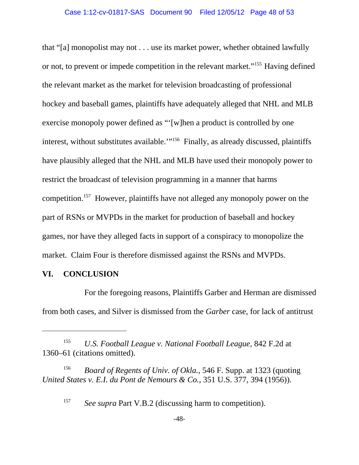that "[a] monopolist may not . . . use its market power, whether obtained lawfully or not, to prevent or impede competition in the relevant market."155 Having defined the relevant market as the market for television broadcasting of professional hockey and baseball games, plaintiffs have adequately alleged that NHL and MLB exercise monopoly power defined as "'[w]hen a product is controlled by one interest, without substitutes available."<sup>156</sup> Finally, as already discussed, plaintiffs have plausibly alleged that the NHL and MLB have used their monopoly power to restrict the broadcast of television programming in a manner that harms competition.157 However, plaintiffs have not alleged any monopoly power on the part of RSNs or MVPDs in the market for production of baseball and hockey games, nor have they alleged facts in support of a conspiracy to monopolize the market. Claim Four is therefore dismissed against the RSNs and MVPDs.

### **VI. CONCLUSION**

For the foregoing reasons, Plaintiffs Garber and Herman are dismissed from both cases, and Silver is dismissed from the *Garber* case, for lack of antitrust

<sup>157</sup> *See supra* Part V.B.2 (discussing harm to competition).

<sup>155</sup> *U.S. Football League v. National Football League*, 842 F.2d at 1360–61 (citations omitted).

<sup>156</sup> *Board of Regents of Univ. of Okla.*, 546 F. Supp. at 1323 (quoting *United States v. E.I. du Pont de Nemours & Co.*, 351 U.S. 377, 394 (1956)).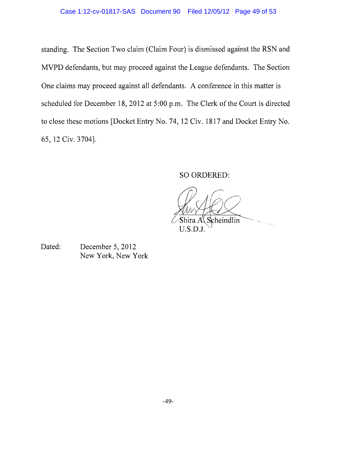standing. The Section Two claim (Claim Four) is dismissed against the RSN and MVPD defendants, but may proceed against the League defendants. The Section One claims may proceed against all defendants. A conference in this matter is scheduled for December 18, 2012 at 5:00 p.m. The Clerk of the Court is directed to close these motions [Docket Entry No. 74,12 Civ. 1817 and Docket Entry No. 65, 12 Civ. 3704].

SO ORDERED:

Scheindlin Shira A  $U.S.D.J.$ 

Dated: December 5, 2012 New York, New York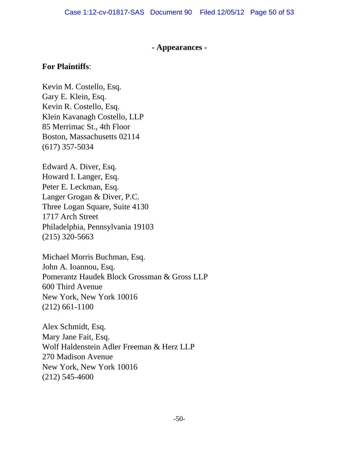#### **- Appearances -**

#### **For Plaintiffs**:

Kevin M. Costello, Esq. Gary E. Klein, Esq. Kevin R. Costello, Esq. Klein Kavanagh Costello, LLP 85 Merrimac St., 4th Floor Boston, Massachusetts 02114 (617) 357-5034

Edward A. Diver, Esq. Howard I. Langer, Esq. Peter E. Leckman, Esq. Langer Grogan & Diver, P.C. Three Logan Square, Suite 4130 1717 Arch Street Philadelphia, Pennsylvania 19103 (215) 320-5663

Michael Morris Buchman, Esq. John A. Ioannou, Esq. Pomerantz Haudek Block Grossman & Gross LLP 600 Third Avenue New York, New York 10016 (212) 661-1100

Alex Schmidt, Esq. Mary Jane Fait, Esq. Wolf Haldenstein Adler Freeman & Herz LLP 270 Madison Avenue New York, New York 10016 (212) 545-4600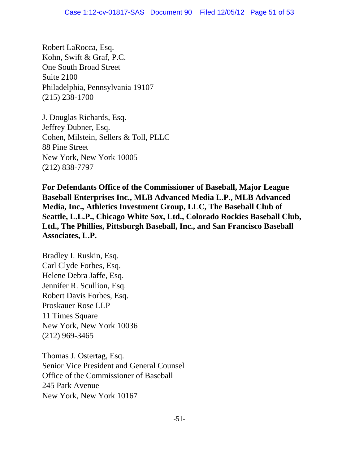Robert LaRocca, Esq. Kohn, Swift & Graf, P.C. One South Broad Street Suite 2100 Philadelphia, Pennsylvania 19107 (215) 238-1700

J. Douglas Richards, Esq. Jeffrey Dubner, Esq. Cohen, Milstein, Sellers & Toll, PLLC 88 Pine Street New York, New York 10005 (212) 838-7797

**For Defendants Office of the Commissioner of Baseball, Major League Baseball Enterprises Inc., MLB Advanced Media L.P., MLB Advanced Media, Inc., Athletics Investment Group, LLC, The Baseball Club of Seattle, L.L.P., Chicago White Sox, Ltd., Colorado Rockies Baseball Club, Ltd., The Phillies, Pittsburgh Baseball, Inc., and San Francisco Baseball Associates, L.P.** 

Bradley I. Ruskin, Esq. Carl Clyde Forbes, Esq. Helene Debra Jaffe, Esq. Jennifer R. Scullion, Esq. Robert Davis Forbes, Esq. Proskauer Rose LLP 11 Times Square New York, New York 10036 (212) 969-3465

Thomas J. Ostertag, Esq. Senior Vice President and General Counsel Office of the Commissioner of Baseball 245 Park Avenue New York, New York 10167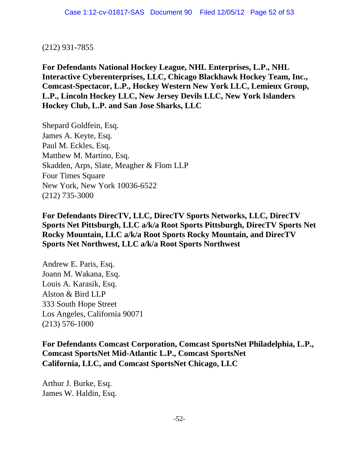#### (212) 931-7855

**For Defendants National Hockey League, NHL Enterprises, L.P., NHL Interactive Cyberenterprises, LLC, Chicago Blackhawk Hockey Team, Inc., Comcast-Spectacor, L.P., Hockey Western New York LLC, Lemieux Group, L.P., Lincoln Hockey LLC, New Jersey Devils LLC, New York Islanders Hockey Club, L.P. and San Jose Sharks, LLC**

Shepard Goldfein, Esq. James A. Keyte, Esq. Paul M. Eckles, Esq. Matthew M. Martino, Esq. Skadden, Arps, Slate, Meagher & Flom LLP Four Times Square New York, New York 10036-6522 (212) 735-3000

**For Defendants DirecTV, LLC, DirecTV Sports Networks, LLC, DirecTV Sports Net Pittsburgh, LLC a/k/a Root Sports Pittsburgh, DirecTV Sports Net Rocky Mountain, LLC a/k/a Root Sports Rocky Mountain, and DirecTV Sports Net Northwest, LLC a/k/a Root Sports Northwest**

Andrew E. Paris, Esq. Joann M. Wakana, Esq. Louis A. Karasik, Esq. Alston & Bird LLP 333 South Hope Street Los Angeles, California 90071 (213) 576-1000

**For Defendants Comcast Corporation, Comcast SportsNet Philadelphia, L.P., Comcast SportsNet Mid-Atlantic L.P., Comcast SportsNet California, LLC, and Comcast SportsNet Chicago, LLC**

Arthur J. Burke, Esq. James W. Haldin, Esq.